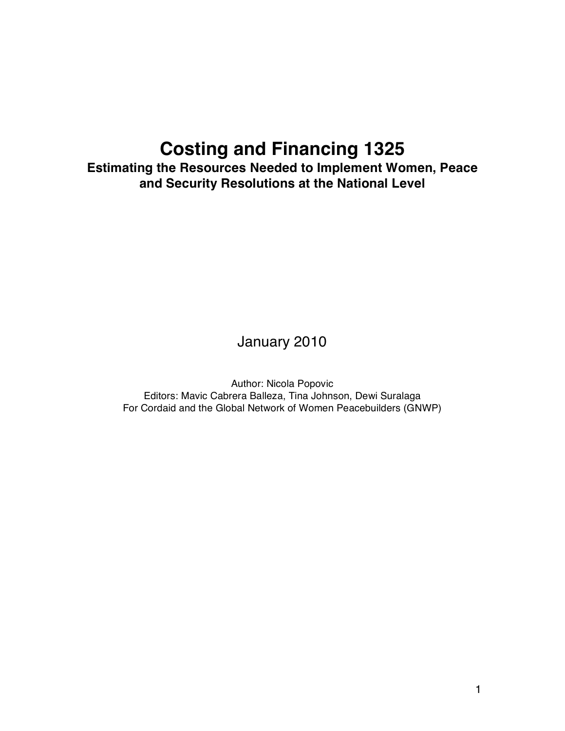# **Costing and Financing 1325**

**Estimating the Resources Needed to Implement Women, Peace and Security Resolutions at the National Level**

# January 2010

Author: Nicola Popovic Editors: Mavic Cabrera Balleza, Tina Johnson, Dewi Suralaga For Cordaid and the Global Network of Women Peacebuilders (GNWP)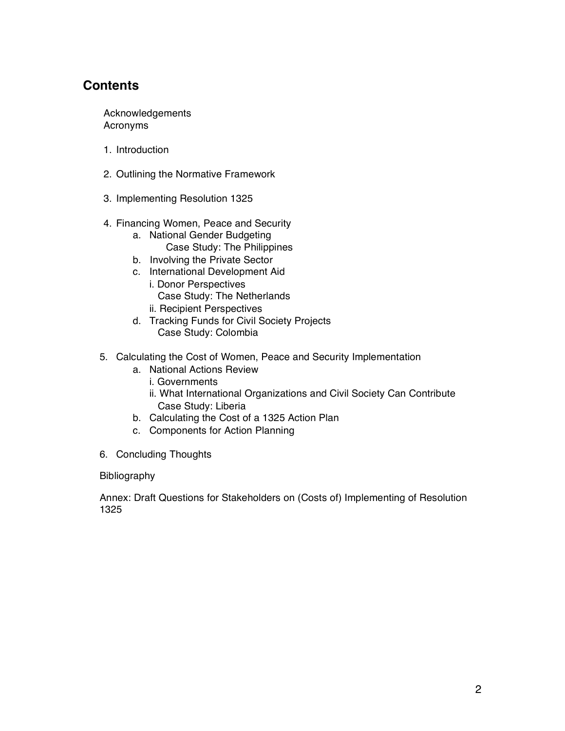# **Contents**

Acknowledgements Acronyms

- 1. Introduction
- 2. Outlining the Normative Framework
- 3. Implementing Resolution 1325
- 4. Financing Women, Peace and Security
	- a. National Gender Budgeting Case Study: The Philippines
	- b. Involving the Private Sector
	- c. International Development Aid i. Donor Perspectives
		- Case Study: The Netherlands
		- ii. Recipient Perspectives
	- d. Tracking Funds for Civil Society Projects Case Study: Colombia
- 5. Calculating the Cost of Women, Peace and Security Implementation
	- a. National Actions Review
		- i. Governments
		- ii. What International Organizations and Civil Society Can Contribute Case Study: Liberia
	- b. Calculating the Cost of a 1325 Action Plan
	- c. Components for Action Planning
- 6. Concluding Thoughts

#### Bibliography

Annex: Draft Questions for Stakeholders on (Costs of) Implementing of Resolution 1325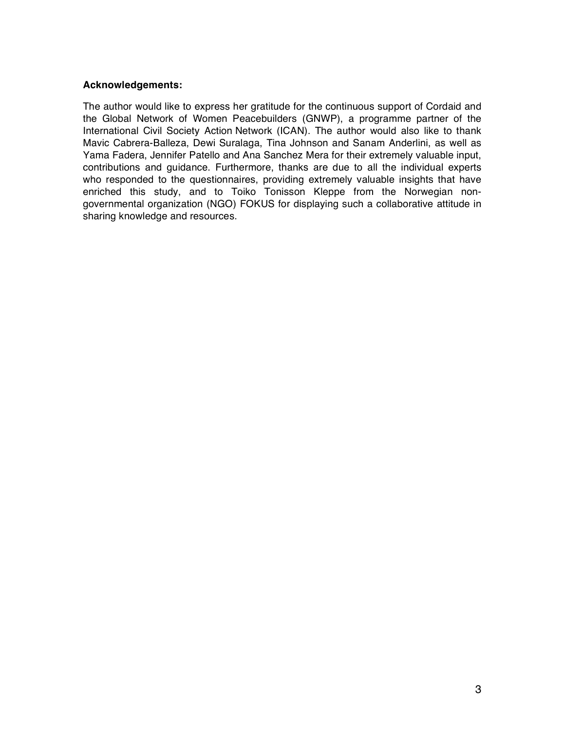#### **Acknowledgements:**

The author would like to express her gratitude for the continuous support of Cordaid and the Global Network of Women Peacebuilders (GNWP), a programme partner of the International Civil Society Action Network (ICAN). The author would also like to thank Mavic Cabrera-Balleza, Dewi Suralaga, Tina Johnson and Sanam Anderlini, as well as Yama Fadera, Jennifer Patello and Ana Sanchez Mera for their extremely valuable input, contributions and guidance. Furthermore, thanks are due to all the individual experts who responded to the questionnaires, providing extremely valuable insights that have enriched this study, and to Toiko Tonisson Kleppe from the Norwegian nongovernmental organization (NGO) FOKUS for displaying such a collaborative attitude in sharing knowledge and resources.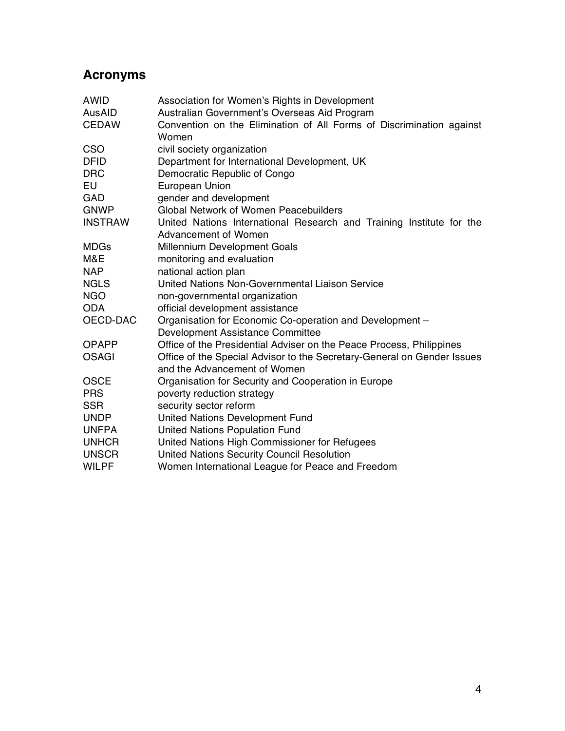# **Acronyms**

| <b>AWID</b>    | Association for Women's Rights in Development                           |
|----------------|-------------------------------------------------------------------------|
| AusAID         | Australian Government's Overseas Aid Program                            |
| <b>CEDAW</b>   | Convention on the Elimination of All Forms of Discrimination against    |
|                | Women                                                                   |
| <b>CSO</b>     | civil society organization                                              |
| <b>DFID</b>    | Department for International Development, UK                            |
| <b>DRC</b>     | Democratic Republic of Congo                                            |
| EU             | European Union                                                          |
| <b>GAD</b>     | gender and development                                                  |
| <b>GNWP</b>    | <b>Global Network of Women Peacebuilders</b>                            |
| <b>INSTRAW</b> | United Nations International Research and Training Institute for the    |
|                | Advancement of Women                                                    |
| <b>MDGs</b>    | Millennium Development Goals                                            |
| M&E            | monitoring and evaluation                                               |
| <b>NAP</b>     | national action plan                                                    |
| <b>NGLS</b>    | United Nations Non-Governmental Liaison Service                         |
| <b>NGO</b>     | non-governmental organization                                           |
| <b>ODA</b>     | official development assistance                                         |
| OECD-DAC       | Organisation for Economic Co-operation and Development -                |
|                | Development Assistance Committee                                        |
| <b>OPAPP</b>   | Office of the Presidential Adviser on the Peace Process, Philippines    |
| <b>OSAGI</b>   | Office of the Special Advisor to the Secretary-General on Gender Issues |
|                | and the Advancement of Women                                            |
| <b>OSCE</b>    | Organisation for Security and Cooperation in Europe                     |
| <b>PRS</b>     | poverty reduction strategy                                              |
| <b>SSR</b>     | security sector reform                                                  |
| <b>UNDP</b>    | <b>United Nations Development Fund</b>                                  |
| <b>UNFPA</b>   | <b>United Nations Population Fund</b>                                   |
| <b>UNHCR</b>   | United Nations High Commissioner for Refugees                           |
| <b>UNSCR</b>   | United Nations Security Council Resolution                              |
| <b>WILPF</b>   | Women International League for Peace and Freedom                        |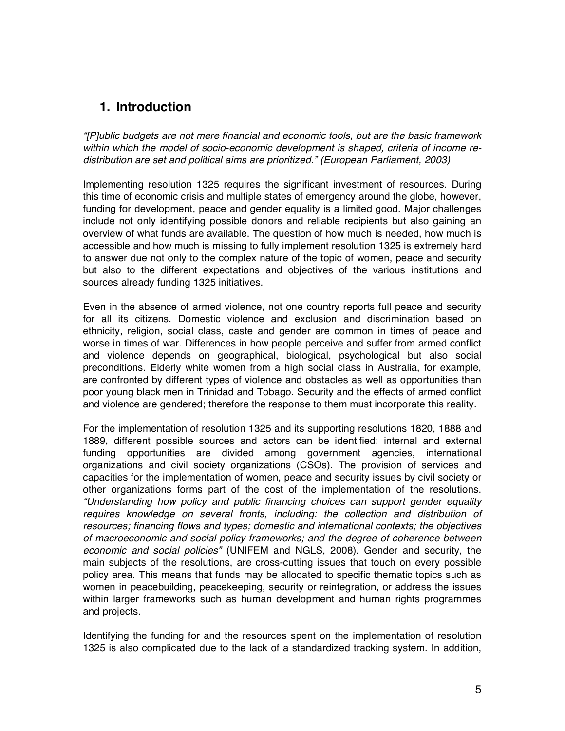# **1. Introduction**

*"[P]ublic budgets are not mere financial and economic tools, but are the basic framework within which the model of socio-economic development is shaped, criteria of income redistribution are set and political aims are prioritized." (European Parliament, 2003)*

Implementing resolution 1325 requires the significant investment of resources. During this time of economic crisis and multiple states of emergency around the globe, however, funding for development, peace and gender equality is a limited good. Major challenges include not only identifying possible donors and reliable recipients but also gaining an overview of what funds are available. The question of how much is needed, how much is accessible and how much is missing to fully implement resolution 1325 is extremely hard to answer due not only to the complex nature of the topic of women, peace and security but also to the different expectations and objectives of the various institutions and sources already funding 1325 initiatives.

Even in the absence of armed violence, not one country reports full peace and security for all its citizens. Domestic violence and exclusion and discrimination based on ethnicity, religion, social class, caste and gender are common in times of peace and worse in times of war. Differences in how people perceive and suffer from armed conflict and violence depends on geographical, biological, psychological but also social preconditions. Elderly white women from a high social class in Australia, for example, are confronted by different types of violence and obstacles as well as opportunities than poor young black men in Trinidad and Tobago. Security and the effects of armed conflict and violence are gendered; therefore the response to them must incorporate this reality.

For the implementation of resolution 1325 and its supporting resolutions 1820, 1888 and 1889, different possible sources and actors can be identified: internal and external funding opportunities are divided among government agencies, international organizations and civil society organizations (CSOs). The provision of services and capacities for the implementation of women, peace and security issues by civil society or other organizations forms part of the cost of the implementation of the resolutions. *"Understanding how policy and public financing choices can support gender equality*  requires knowledge on several fronts, including: the collection and distribution of *resources; financing flows and types; domestic and international contexts; the objectives of macroeconomic and social policy frameworks; and the degree of coherence between economic and social policies"* (UNIFEM and NGLS, 2008). Gender and security, the main subjects of the resolutions, are cross-cutting issues that touch on every possible policy area. This means that funds may be allocated to specific thematic topics such as women in peacebuilding, peacekeeping, security or reintegration, or address the issues within larger frameworks such as human development and human rights programmes and projects.

Identifying the funding for and the resources spent on the implementation of resolution 1325 is also complicated due to the lack of a standardized tracking system. In addition,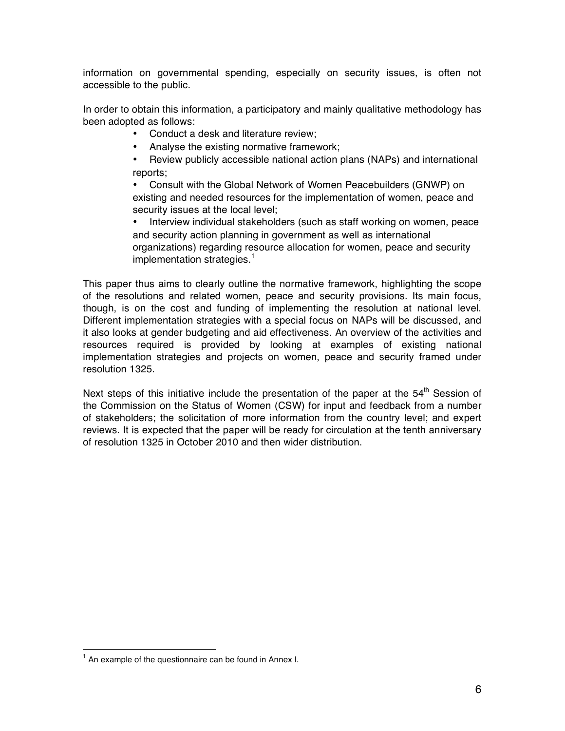information on governmental spending, especially on security issues, is often not accessible to the public.

In order to obtain this information, a participatory and mainly qualitative methodology has been adopted as follows:

- Conduct a desk and literature review;
- Analyse the existing normative framework;
- Review publicly accessible national action plans (NAPs) and international reports;
- Consult with the Global Network of Women Peacebuilders (GNWP) on existing and needed resources for the implementation of women, peace and security issues at the local level;
- Interview individual stakeholders (such as staff working on women, peace and security action planning in government as well as international organizations) regarding resource allocation for women, peace and security implementation strategies.<sup>1</sup>

This paper thus aims to clearly outline the normative framework, highlighting the scope of the resolutions and related women, peace and security provisions. Its main focus, though, is on the cost and funding of implementing the resolution at national level. Different implementation strategies with a special focus on NAPs will be discussed, and it also looks at gender budgeting and aid effectiveness. An overview of the activities and resources required is provided by looking at examples of existing national implementation strategies and projects on women, peace and security framed under resolution 1325.

Next steps of this initiative include the presentation of the paper at the  $54<sup>th</sup>$  Session of the Commission on the Status of Women (CSW) for input and feedback from a number of stakeholders; the solicitation of more information from the country level; and expert reviews. It is expected that the paper will be ready for circulation at the tenth anniversary of resolution 1325 in October 2010 and then wider distribution.

<sup>|&</sup>lt;br>1  $<sup>1</sup>$  An example of the questionnaire can be found in Annex I.</sup>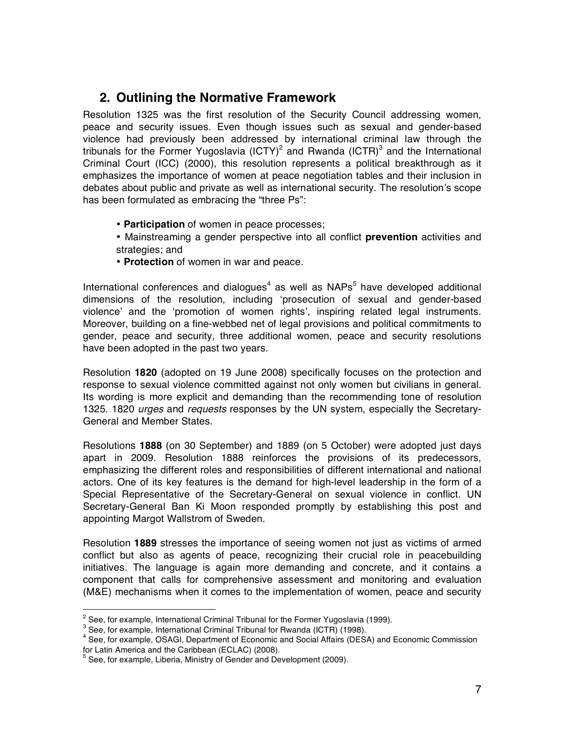# **2. Outlining the Normative Framework**

Resolution 1325 was the first resolution of the Security Council addressing women, peace and security issues. Even though issues such as sexual and gender-based violence had previously been addressed by international criminal law through the tribunals for the Former Yugoslavia (ICTY)<sup>2</sup> and Rwanda (ICTR)<sup>3</sup> and the International Criminal Court (ICC) (2000), this resolution represents a political breakthrough as it emphasizes the importance of women at peace negotiation tables and their inclusion in debates about public and private as well as international security. The resolution's scope has been formulated as embracing the "three Ps":

- **Participation** of women in peace processes;
- Mainstreaming a gender perspective into all conflict **prevention** activities and strategies; and
- **Protection** of women in war and peace.

International conferences and dialogues<sup>4</sup> as well as NAPs<sup>5</sup> have developed additional dimensions of the resolution, including ʻprosecution of sexual and gender-based violence' and the ʻpromotion of women rights', inspiring related legal instruments. Moreover, building on a fine-webbed net of legal provisions and political commitments to gender, peace and security, three additional women, peace and security resolutions have been adopted in the past two years.

Resolution **1820** (adopted on 19 June 2008) specifically focuses on the protection and response to sexual violence committed against not only women but civilians in general. Its wording is more explicit and demanding than the recommending tone of resolution 1325. 1820 *urges* and *requests* responses by the UN system, especially the Secretary-General and Member States.

Resolutions **1888** (on 30 September) and 1889 (on 5 October) were adopted just days apart in 2009. Resolution 1888 reinforces the provisions of its predecessors, emphasizing the different roles and responsibilities of different international and national actors. One of its key features is the demand for high-level leadership in the form of a Special Representative of the Secretary-General on sexual violence in conflict. UN Secretary-General Ban Ki Moon responded promptly by establishing this post and appointing Margot Wallstrom of Sweden.

Resolution **1889** stresses the importance of seeing women not just as victims of armed conflict but also as agents of peace, recognizing their crucial role in peacebuilding initiatives. The language is again more demanding and concrete, and it contains a component that calls for comprehensive assessment and monitoring and evaluation (M&E) mechanisms when it comes to the implementation of women, peace and security

 $\overline{2}$  $2$  See, for example, International Criminal Tribunal for the Former Yugoslavia (1999).

<sup>&</sup>lt;sup>3</sup> See, for example, International Criminal Tribunal for Rwanda (ICTR) (1998).  $\frac{4}{15}$  See, for example, OSACL Department of Economic and Social Affairs (DES)

<sup>&</sup>lt;sup>4</sup> See, for example, OSAGI, Department of Economic and Social Affairs (DESA) and Economic Commission for Latin America and the Caribbean (ECLAC) (2008).

<sup>&</sup>lt;sup>5</sup> See, for example, Liberia, Ministry of Gender and Development (2009).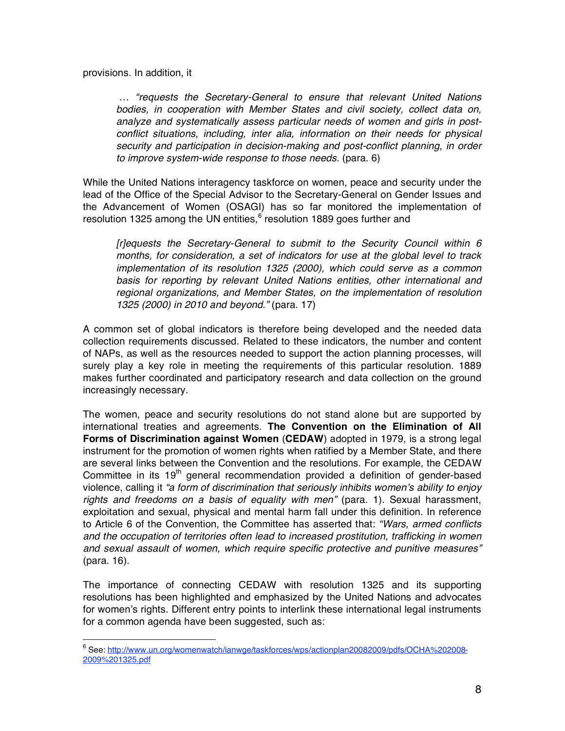provisions. In addition, it

 *… "requests the Secretary-General to ensure that relevant United Nations bodies, in cooperation with Member States and civil society, collect data on, analyze and systematically assess particular needs of women and girls in postconflict situations, including, inter alia, information on their needs for physical security and participation in decision-making and post-conflict planning, in order to improve system-wide response to those needs.* (para. 6)

While the United Nations interagency taskforce on women, peace and security under the lead of the Office of the Special Advisor to the Secretary-General on Gender Issues and the Advancement of Women (OSAGI) has so far monitored the implementation of resolution 1325 among the UN entities,<sup>6</sup> resolution 1889 goes further and

*[r]equests the Secretary-General to submit to the Security Council within 6 months, for consideration, a set of indicators for use at the global level to track implementation of its resolution 1325 (2000), which could serve as a common basis for reporting by relevant United Nations entities, other international and regional organizations, and Member States, on the implementation of resolution 1325 (2000) in 2010 and beyond."* (para. 17)

A common set of global indicators is therefore being developed and the needed data collection requirements discussed. Related to these indicators, the number and content of NAPs, as well as the resources needed to support the action planning processes, will surely play a key role in meeting the requirements of this particular resolution. 1889 makes further coordinated and participatory research and data collection on the ground increasingly necessary.

The women, peace and security resolutions do not stand alone but are supported by international treaties and agreements. **The Convention on the Elimination of All Forms of Discrimination against Women** (**CEDAW**) adopted in 1979, is a strong legal instrument for the promotion of women rights when ratified by a Member State, and there are several links between the Convention and the resolutions. For example, the CEDAW Committee in its  $19<sup>th</sup>$  general recommendation provided a definition of gender-based violence, calling it *"a form of discrimination that seriously inhibits women*'*s ability to enjoy rights and freedoms on a basis of equality with men"* (para. 1). Sexual harassment, exploitation and sexual, physical and mental harm fall under this definition. In reference to Article 6 of the Convention, the Committee has asserted that: *"Wars, armed conflicts and the occupation of territories often lead to increased prostitution, trafficking in women and sexual assault of women, which require specific protective and punitive measures"*  (para. 16).

The importance of connecting CEDAW with resolution 1325 and its supporting resolutions has been highlighted and emphasized by the United Nations and advocates for women's rights. Different entry points to interlink these international legal instruments for a common agenda have been suggested, such as:

<sup>-&</sup>lt;br>6 See: http://www.un.org/womenwatch/ianwge/taskforces/wps/actionplan20082009/pdfs/OCHA%202008- 2009%201325.pdf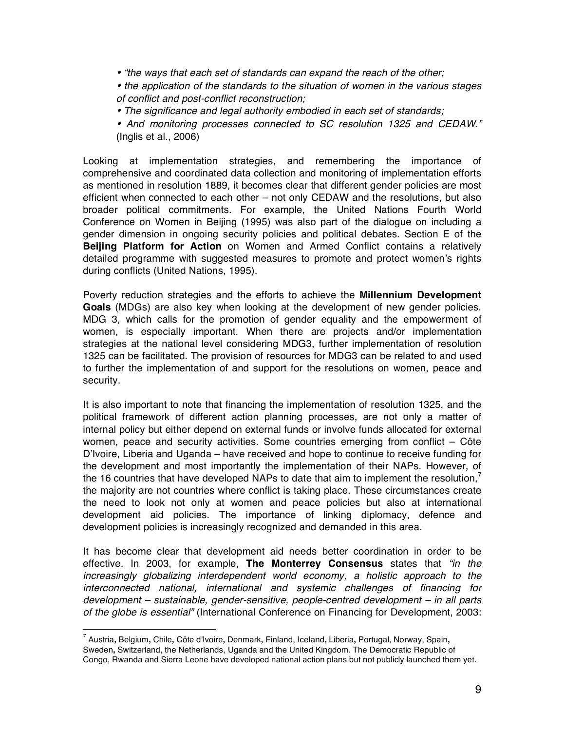• *"the ways that each set of standards can expand the reach of the other;* 

• *the application of the standards to the situation of women in the various stages of conflict and post-conflict reconstruction;*

- • *The significance and legal authority embodied in each set of standards;*
- • *And monitoring processes connected to SC resolution 1325 and CEDAW."*  (Inglis et al., 2006)

Looking at implementation strategies, and remembering the importance of comprehensive and coordinated data collection and monitoring of implementation efforts as mentioned in resolution 1889, it becomes clear that different gender policies are most efficient when connected to each other – not only CEDAW and the resolutions, but also broader political commitments. For example, the United Nations Fourth World Conference on Women in Beijing (1995) was also part of the dialogue on including a gender dimension in ongoing security policies and political debates. Section E of the **Beijing Platform for Action** on Women and Armed Conflict contains a relatively detailed programme with suggested measures to promote and protect women's rights during conflicts (United Nations, 1995).

Poverty reduction strategies and the efforts to achieve the **Millennium Development Goals** (MDGs) are also key when looking at the development of new gender policies. MDG 3, which calls for the promotion of gender equality and the empowerment of women, is especially important. When there are projects and/or implementation strategies at the national level considering MDG3, further implementation of resolution 1325 can be facilitated. The provision of resources for MDG3 can be related to and used to further the implementation of and support for the resolutions on women, peace and security.

It is also important to note that financing the implementation of resolution 1325, and the political framework of different action planning processes, are not only a matter of internal policy but either depend on external funds or involve funds allocated for external women, peace and security activities. Some countries emerging from conflict – Côte D'Ivoire, Liberia and Uganda – have received and hope to continue to receive funding for the development and most importantly the implementation of their NAPs. However, of the 16 countries that have developed NAPs to date that aim to implement the resolution,<sup>7</sup> the majority are not countries where conflict is taking place. These circumstances create the need to look not only at women and peace policies but also at international development aid policies. The importance of linking diplomacy, defence and development policies is increasingly recognized and demanded in this area.

It has become clear that development aid needs better coordination in order to be effective. In 2003, for example, **The Monterrey Consensus** states that *"in the increasingly globalizing interdependent world economy, a holistic approach to the interconnected national, international and systemic challenges of financing for development – sustainable, gender-sensitive, people-centred development – in all parts of the globe is essential"* (International Conference on Financing for Development, 2003:

 <sup>7</sup> Austria**,** Belgium**,** Chile**,** Côte d'Ivoire**,** Denmark**,** Finland, Iceland**,** Liberia**,** Portugal, Norway, Spain**,**  Sweden**,** Switzerland, the Netherlands, Uganda and the United Kingdom. The Democratic Republic of Congo, Rwanda and Sierra Leone have developed national action plans but not publicly launched them yet.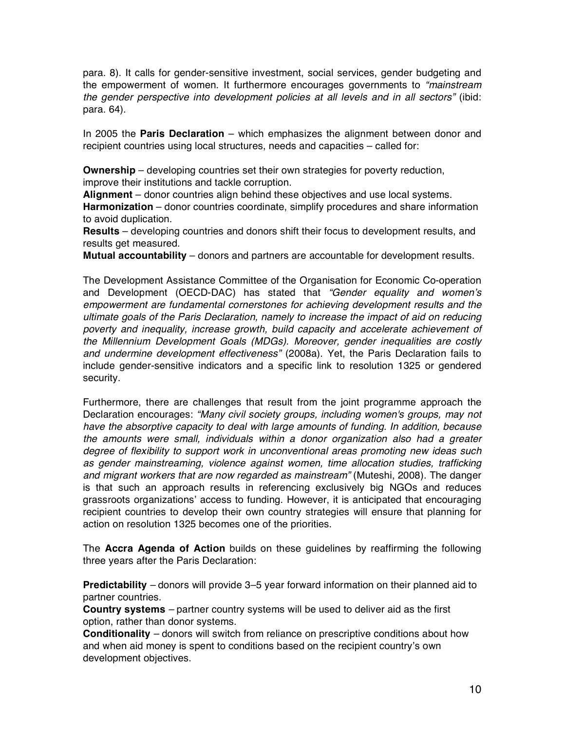para. 8). It calls for gender-sensitive investment, social services, gender budgeting and the empowerment of women. It furthermore encourages governments to *"mainstream the gender perspective into development policies at all levels and in all sectors"* (ibid: para. 64).

In 2005 the **Paris Declaration** – which emphasizes the alignment between donor and recipient countries using local structures, needs and capacities – called for:

**Ownership** – developing countries set their own strategies for poverty reduction, improve their institutions and tackle corruption.

**Alignment** – donor countries align behind these objectives and use local systems.

**Harmonization** – donor countries coordinate, simplify procedures and share information to avoid duplication.

**Results** – developing countries and donors shift their focus to development results, and results get measured.

**Mutual accountability** – donors and partners are accountable for development results.

The Development Assistance Committee of the Organisation for Economic Co-operation and Development (OECD-DAC) has stated that *"Gender equality and women*'*s empowerment are fundamental cornerstones for achieving development results and the ultimate goals of the Paris Declaration, namely to increase the impact of aid on reducing poverty and inequality, increase growth, build capacity and accelerate achievement of the Millennium Development Goals (MDGs). Moreover, gender inequalities are costly and undermine development effectiveness"* (2008a). Yet, the Paris Declaration fails to include gender-sensitive indicators and a specific link to resolution 1325 or gendered security.

Furthermore, there are challenges that result from the joint programme approach the Declaration encourages: *"Many civil society groups, including women's groups, may not have the absorptive capacity to deal with large amounts of funding. In addition, because the amounts were small, individuals within a donor organization also had a greater degree of flexibility to support work in unconventional areas promoting new ideas such as gender mainstreaming, violence against women, time allocation studies, trafficking and migrant workers that are now regarded as mainstream"* (Muteshi, 2008). The danger is that such an approach results in referencing exclusively big NGOs and reduces grassroots organizations' access to funding. However, it is anticipated that encouraging recipient countries to develop their own country strategies will ensure that planning for action on resolution 1325 becomes one of the priorities.

The **Accra Agenda of Action** builds on these guidelines by reaffirming the following three years after the Paris Declaration:

**Predictability** *–* donors will provide 3–5 year forward information on their planned aid to partner countries.

**Country systems** *–* partner country systems will be used to deliver aid as the first option, rather than donor systems.

**Conditionality** *–* donors will switch from reliance on prescriptive conditions about how and when aid money is spent to conditions based on the recipient country's own development objectives.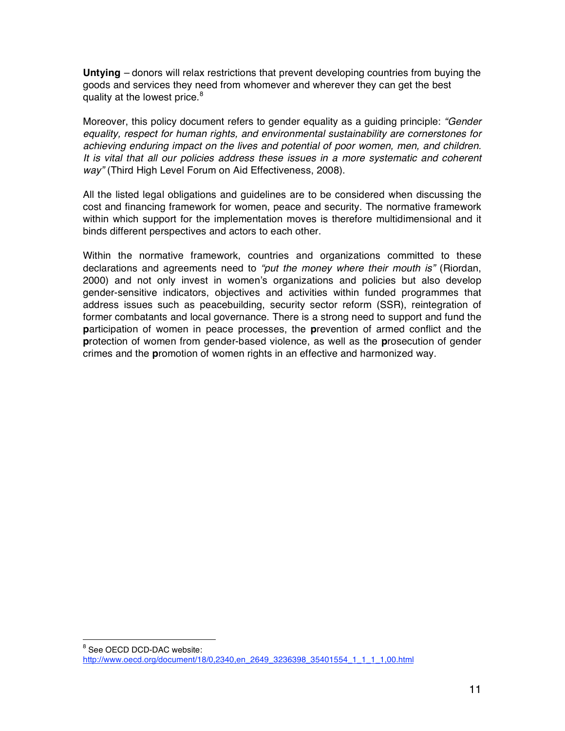**Untying** *–* donors will relax restrictions that prevent developing countries from buying the goods and services they need from whomever and wherever they can get the best quality at the lowest price.<sup>8</sup>

Moreover, this policy document refers to gender equality as a guiding principle: *"Gender equality, respect for human rights, and environmental sustainability are cornerstones for achieving enduring impact on the lives and potential of poor women, men, and children. It is vital that all our policies address these issues in a more systematic and coherent way"* (Third High Level Forum on Aid Effectiveness, 2008).

All the listed legal obligations and guidelines are to be considered when discussing the cost and financing framework for women, peace and security. The normative framework within which support for the implementation moves is therefore multidimensional and it binds different perspectives and actors to each other.

Within the normative framework, countries and organizations committed to these declarations and agreements need to *"put the money where their mouth is"* (Riordan, 2000) and not only invest in women's organizations and policies but also develop gender-sensitive indicators, objectives and activities within funded programmes that address issues such as peacebuilding, security sector reform (SSR), reintegration of former combatants and local governance. There is a strong need to support and fund the **p**articipation of women in peace processes, the **p**revention of armed conflict and the **p**rotection of women from gender-based violence, as well as the **p**rosecution of gender crimes and the **p**romotion of women rights in an effective and harmonized way.

 <sup>8</sup> <sup>8</sup> See OECD DCD-DAC website: http://www.oecd.org/document/18/0,2340,en\_2649\_3236398\_35401554\_1\_1\_1\_1,00.html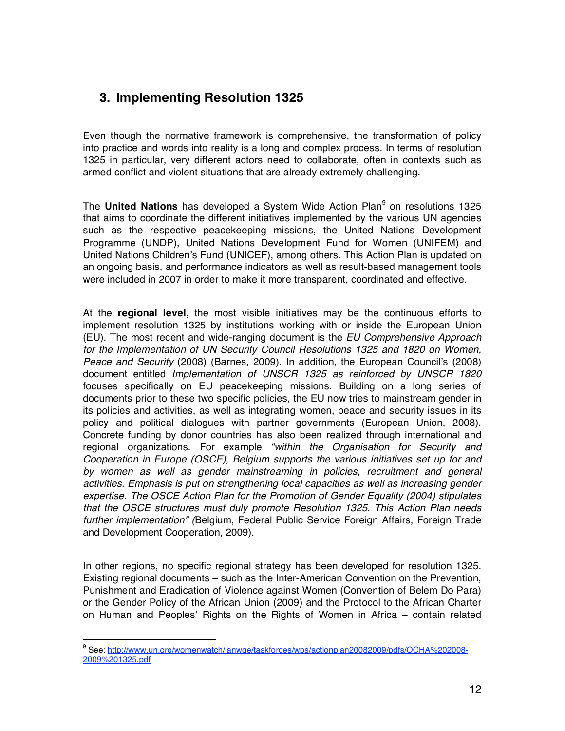# **3. Implementing Resolution 1325**

Even though the normative framework is comprehensive, the transformation of policy into practice and words into reality is a long and complex process. In terms of resolution 1325 in particular, very different actors need to collaborate, often in contexts such as armed conflict and violent situations that are already extremely challenging.

The United Nations has developed a System Wide Action Plan<sup>9</sup> on resolutions 1325 that aims to coordinate the different initiatives implemented by the various UN agencies such as the respective peacekeeping missions, the United Nations Development Programme (UNDP), United Nations Development Fund for Women (UNIFEM) and United Nations Children's Fund (UNICEF), among others. This Action Plan is updated on an ongoing basis, and performance indicators as well as result-based management tools were included in 2007 in order to make it more transparent, coordinated and effective.

At the **regional level,** the most visible initiatives may be the continuous efforts to implement resolution 1325 by institutions working with or inside the European Union (EU). The most recent and wide-ranging document is the *EU Comprehensive Approach*  for the Implementation of UN Security Council Resolutions 1325 and 1820 on Women, *Peace and Security* (2008) (Barnes, 2009). In addition, the European Council's (2008) document entitled *Implementation of UNSCR 1325 as reinforced by UNSCR 1820* focuses specifically on EU peacekeeping missions. Building on a long series of documents prior to these two specific policies, the EU now tries to mainstream gender in its policies and activities, as well as integrating women, peace and security issues in its policy and political dialogues with partner governments (European Union, 2008). Concrete funding by donor countries has also been realized through international and regional organizations. For example *"within the Organisation for Security and Cooperation in Europe (OSCE), Belgium supports the various initiatives set up for and*  by women as well as gender mainstreaming in policies, recruitment and general *activities. Emphasis is put on strengthening local capacities as well as increasing gender expertise. The OSCE Action Plan for the Promotion of Gender Equality (2004) stipulates that the OSCE structures must duly promote Resolution 1325. This Action Plan needs further implementation" (*Belgium, Federal Public Service Foreign Affairs, Foreign Trade and Development Cooperation, 2009).

In other regions, no specific regional strategy has been developed for resolution 1325. Existing regional documents – such as the Inter-American Convention on the Prevention, Punishment and Eradication of Violence against Women (Convention of Belem Do Para) or the Gender Policy of the African Union (2009) and the Protocol to the African Charter on Human and Peoples' Rights on the Rights of Women in Africa – contain related

<sup>9</sup> See: http://www.un.org/womenwatch/ianwge/taskforces/wps/actionplan20082009/pdfs/OCHA%202008-2009%201325.pdf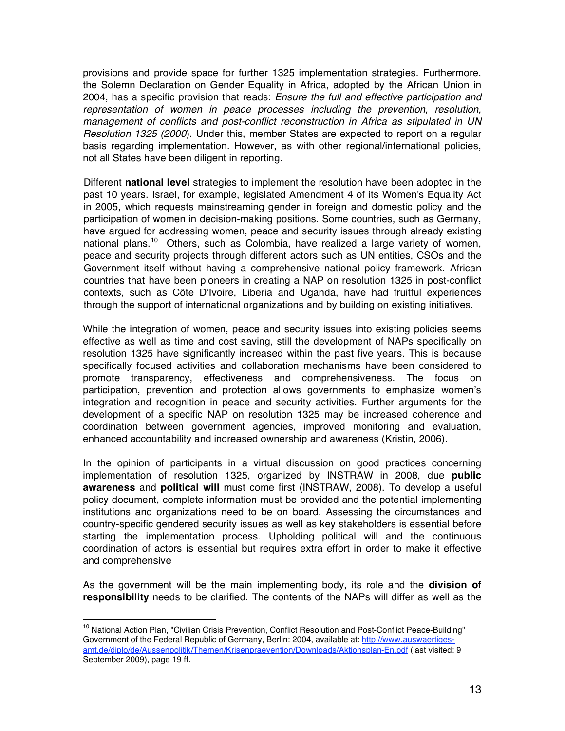provisions and provide space for further 1325 implementation strategies. Furthermore, the Solemn Declaration on Gender Equality in Africa, adopted by the African Union in 2004, has a specific provision that reads: *Ensure the full and effective participation and representation of women in peace processes including the prevention, resolution, management of conflicts and post-conflict reconstruction in Africa as stipulated in UN Resolution 1325 (2000*). Under this, member States are expected to report on a regular basis regarding implementation. However, as with other regional/international policies, not all States have been diligent in reporting.

Different **national level** strategies to implement the resolution have been adopted in the past 10 years. Israel, for example, legislated Amendment 4 of its Women's Equality Act in 2005, which requests mainstreaming gender in foreign and domestic policy and the participation of women in decision-making positions. Some countries, such as Germany, have argued for addressing women, peace and security issues through already existing national plans.<sup>10</sup> Others, such as Colombia, have realized a large variety of women, peace and security projects through different actors such as UN entities, CSOs and the Government itself without having a comprehensive national policy framework. African countries that have been pioneers in creating a NAP on resolution 1325 in post-conflict contexts, such as Côte D'Ivoire, Liberia and Uganda, have had fruitful experiences through the support of international organizations and by building on existing initiatives.

While the integration of women, peace and security issues into existing policies seems effective as well as time and cost saving, still the development of NAPs specifically on resolution 1325 have significantly increased within the past five years. This is because specifically focused activities and collaboration mechanisms have been considered to promote transparency, effectiveness and comprehensiveness. The focus on participation, prevention and protection allows governments to emphasize women's integration and recognition in peace and security activities. Further arguments for the development of a specific NAP on resolution 1325 may be increased coherence and coordination between government agencies, improved monitoring and evaluation, enhanced accountability and increased ownership and awareness (Kristin, 2006).

In the opinion of participants in a virtual discussion on good practices concerning implementation of resolution 1325, organized by INSTRAW in 2008, due **public awareness** and **political will** must come first (INSTRAW, 2008). To develop a useful policy document, complete information must be provided and the potential implementing institutions and organizations need to be on board. Assessing the circumstances and country-specific gendered security issues as well as key stakeholders is essential before starting the implementation process. Upholding political will and the continuous coordination of actors is essential but requires extra effort in order to make it effective and comprehensive

As the government will be the main implementing body, its role and the **division of responsibility** needs to be clarified. The contents of the NAPs will differ as well as the

<sup>&</sup>lt;sup>10</sup> National Action Plan, "Civilian Crisis Prevention, Conflict Resolution and Post-Conflict Peace-Building" Government of the Federal Republic of Germany, Berlin: 2004, available at: http://www.auswaertigesamt.de/diplo/de/Aussenpolitik/Themen/Krisenpraevention/Downloads/Aktionsplan-En.pdf (last visited: 9 September 2009), page 19 ff.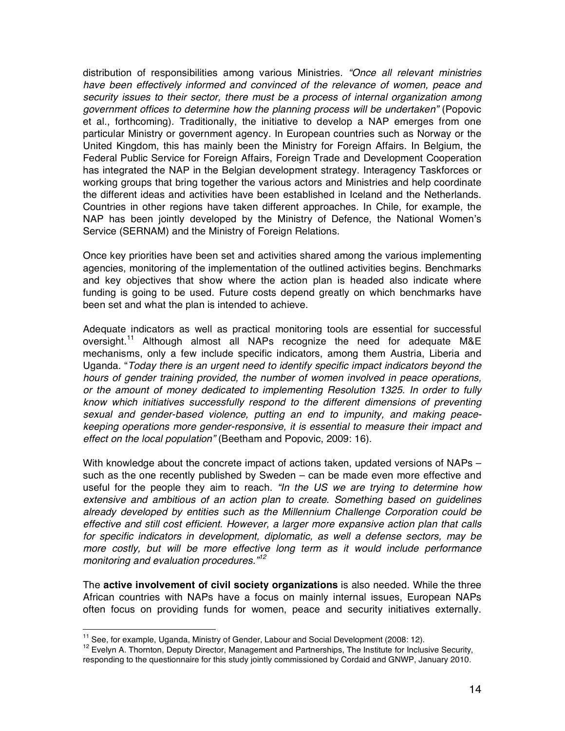distribution of responsibilities among various Ministries. *"Once all relevant ministries*  have been effectively informed and convinced of the relevance of women, peace and *security issues to their sector, there must be a process of internal organization among government offices to determine how the planning process will be undertaken"* (Popovic et al., forthcoming)*.* Traditionally, the initiative to develop a NAP emerges from one particular Ministry or government agency. In European countries such as Norway or the United Kingdom, this has mainly been the Ministry for Foreign Affairs. In Belgium, the Federal Public Service for Foreign Affairs, Foreign Trade and Development Cooperation has integrated the NAP in the Belgian development strategy. Interagency Taskforces or working groups that bring together the various actors and Ministries and help coordinate the different ideas and activities have been established in Iceland and the Netherlands. Countries in other regions have taken different approaches. In Chile, for example, the NAP has been jointly developed by the Ministry of Defence, the National Women's Service (SERNAM) and the Ministry of Foreign Relations.

Once key priorities have been set and activities shared among the various implementing agencies, monitoring of the implementation of the outlined activities begins. Benchmarks and key objectives that show where the action plan is headed also indicate where funding is going to be used. Future costs depend greatly on which benchmarks have been set and what the plan is intended to achieve.

Adequate indicators as well as practical monitoring tools are essential for successful oversight.<sup>11</sup> Although almost all NAPs recognize the need for adequate M&E mechanisms, only a few include specific indicators, among them Austria, Liberia and Uganda. "*Today there is an urgent need to identify specific impact indicators beyond the hours of gender training provided, the number of women involved in peace operations, or the amount of money dedicated to implementing Resolution 1325. In order to fully know which initiatives successfully respond to the different dimensions of preventing sexual and gender-based violence, putting an end to impunity, and making peacekeeping operations more gender-responsive, it is essential to measure their impact and effect on the local population"* (Beetham and Popovic, 2009: 16).

With knowledge about the concrete impact of actions taken, updated versions of NAPs – such as the one recently published by Sweden – can be made even more effective and useful for the people they aim to reach. *"In the US we are trying to determine how extensive and ambitious of an action plan to create. Something based on guidelines already developed by entities such as the Millennium Challenge Corporation could be effective and still cost efficient. However, a larger more expansive action plan that calls for specific indicators in development, diplomatic, as well a defense sectors, may be more costly, but will be more effective long term as it would include performance monitoring and evaluation procedures."<sup>12</sup>*

The **active involvement of civil society organizations** is also needed. While the three African countries with NAPs have a focus on mainly internal issues, European NAPs often focus on providing funds for women, peace and security initiatives externally.

<sup>&</sup>lt;sup>11</sup> See, for example, Uganda, Ministry of Gender, Labour and Social Development (2008: 12).<br><sup>12</sup> Evelyn A. Thornton, Deputy Director, Management and Partnerships, The Institute for Inclusive Security, responding to the questionnaire for this study jointly commissioned by Cordaid and GNWP, January 2010.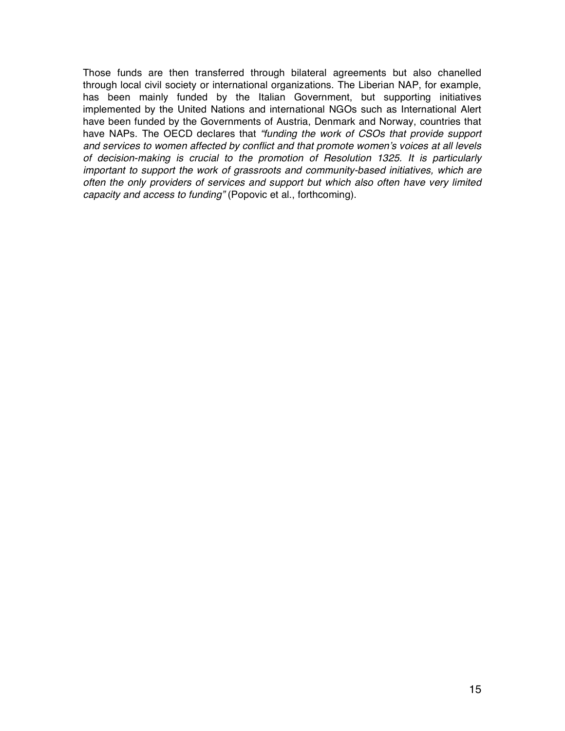Those funds are then transferred through bilateral agreements but also chanelled through local civil society or international organizations. The Liberian NAP, for example, has been mainly funded by the Italian Government, but supporting initiatives implemented by the United Nations and international NGOs such as International Alert have been funded by the Governments of Austria, Denmark and Norway, countries that have NAPs. The OECD declares that *"funding the work of CSOs that provide support and services to women affected by conflict and that promote women*'*s voices at all levels of decision-making is crucial to the promotion of Resolution 1325. It is particularly important to support the work of grassroots and community-based initiatives, which are often the only providers of services and support but which also often have very limited capacity and access to funding"* (Popovic et al., forthcoming).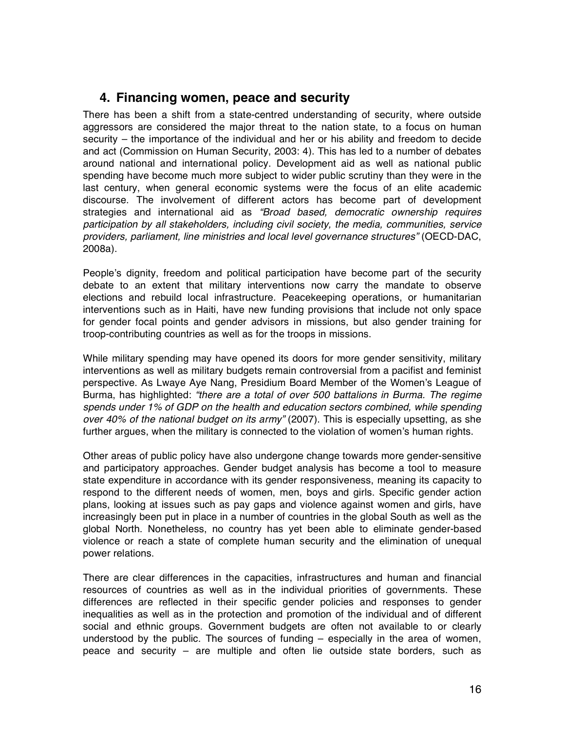## **4. Financing women, peace and security**

There has been a shift from a state-centred understanding of security, where outside aggressors are considered the major threat to the nation state, to a focus on human security – the importance of the individual and her or his ability and freedom to decide and act (Commission on Human Security, 2003: 4). This has led to a number of debates around national and international policy. Development aid as well as national public spending have become much more subject to wider public scrutiny than they were in the last century, when general economic systems were the focus of an elite academic discourse. The involvement of different actors has become part of development strategies and international aid as *"Broad based, democratic ownership requires participation by all stakeholders, including civil society, the media, communities, service providers, parliament, line ministries and local level governance structures"* (OECD-DAC, 2008a).

People's dignity, freedom and political participation have become part of the security debate to an extent that military interventions now carry the mandate to observe elections and rebuild local infrastructure. Peacekeeping operations, or humanitarian interventions such as in Haiti, have new funding provisions that include not only space for gender focal points and gender advisors in missions, but also gender training for troop-contributing countries as well as for the troops in missions.

While military spending may have opened its doors for more gender sensitivity, military interventions as well as military budgets remain controversial from a pacifist and feminist perspective. As Lwaye Aye Nang, Presidium Board Member of the Women's League of Burma, has highlighted: *"there are a total of over 500 battalions in Burma. The regime spends under 1% of GDP on the health and education sectors combined, while spending over 40% of the national budget on its army"* (2007). This is especially upsetting, as she further argues, when the military is connected to the violation of women's human rights.

Other areas of public policy have also undergone change towards more gender-sensitive and participatory approaches. Gender budget analysis has become a tool to measure state expenditure in accordance with its gender responsiveness, meaning its capacity to respond to the different needs of women, men, boys and girls. Specific gender action plans, looking at issues such as pay gaps and violence against women and girls, have increasingly been put in place in a number of countries in the global South as well as the global North. Nonetheless, no country has yet been able to eliminate gender-based violence or reach a state of complete human security and the elimination of unequal power relations.

There are clear differences in the capacities, infrastructures and human and financial resources of countries as well as in the individual priorities of governments. These differences are reflected in their specific gender policies and responses to gender inequalities as well as in the protection and promotion of the individual and of different social and ethnic groups. Government budgets are often not available to or clearly understood by the public. The sources of funding – especially in the area of women, peace and security – are multiple and often lie outside state borders, such as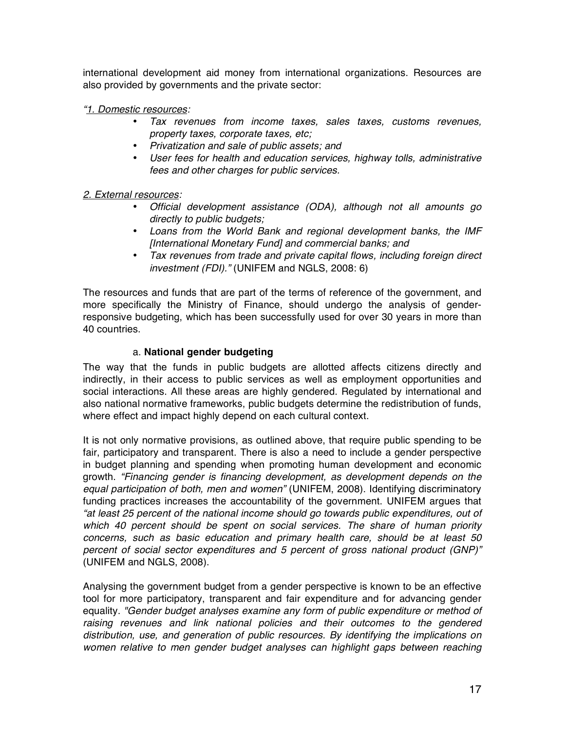international development aid money from international organizations. Resources are also provided by governments and the private sector:

*"1. Domestic resources:*

- *Tax revenues from income taxes, sales taxes, customs revenues, property taxes, corporate taxes, etc;*
- *Privatization and sale of public assets; and*
- *User fees for health and education services, highway tolls, administrative fees and other charges for public services.*

#### *2. External resources:*

- *Official development assistance (ODA), although not all amounts go directly to public budgets;*
- *Loans from the World Bank and regional development banks, the IMF [International Monetary Fund] and commercial banks; and*
- *Tax revenues from trade and private capital flows, including foreign direct investment (FDI)."* (UNIFEM and NGLS, 2008: 6)

The resources and funds that are part of the terms of reference of the government, and more specifically the Ministry of Finance, should undergo the analysis of genderresponsive budgeting, which has been successfully used for over 30 years in more than 40 countries.

#### a. **National gender budgeting**

The way that the funds in public budgets are allotted affects citizens directly and indirectly, in their access to public services as well as employment opportunities and social interactions. All these areas are highly gendered. Regulated by international and also national normative frameworks, public budgets determine the redistribution of funds, where effect and impact highly depend on each cultural context.

It is not only normative provisions, as outlined above, that require public spending to be fair, participatory and transparent. There is also a need to include a gender perspective in budget planning and spending when promoting human development and economic growth. *"Financing gender is financing development, as development depends on the equal participation of both, men and women"* (UNIFEM, 2008). Identifying discriminatory funding practices increases the accountability of the government. UNIFEM argues that *"at least 25 percent of the national income should go towards public expenditures, out of which 40 percent should be spent on social services. The share of human priority concerns, such as basic education and primary health care, should be at least 50 percent of social sector expenditures and 5 percent of gross national product (GNP)"*  (UNIFEM and NGLS, 2008).

Analysing the government budget from a gender perspective is known to be an effective tool for more participatory, transparent and fair expenditure and for advancing gender equality. *"Gender budget analyses examine any form of public expenditure or method of raising revenues and link national policies and their outcomes to the gendered distribution, use, and generation of public resources. By identifying the implications on women relative to men gender budget analyses can highlight gaps between reaching*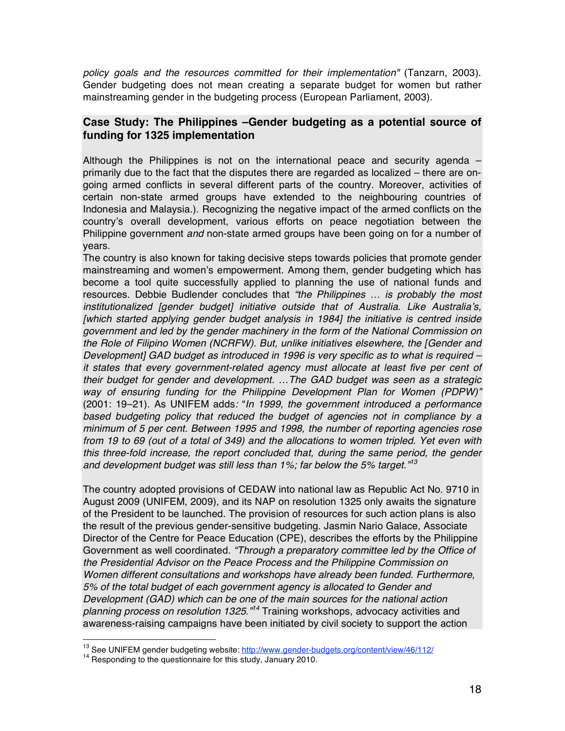*policy goals and the resources committed for their implementation"* (Tanzarn, 2003). Gender budgeting does not mean creating a separate budget for women but rather mainstreaming gender in the budgeting process (European Parliament, 2003).

### **Case Study: The Philippines –Gender budgeting as a potential source of funding for 1325 implementation**

Although the Philippines is not on the international peace and security agenda – primarily due to the fact that the disputes there are regarded as localized – there are ongoing armed conflicts in several different parts of the country. Moreover, activities of certain non-state armed groups have extended to the neighbouring countries of Indonesia and Malaysia.). Recognizing the negative impact of the armed conflicts on the country's overall development, various efforts on peace negotiation between the Philippine government *and* non-state armed groups have been going on for a number of years.

The country is also known for taking decisive steps towards policies that promote gender mainstreaming and women's empowerment. Among them, gender budgeting which has become a tool quite successfully applied to planning the use of national funds and resources. Debbie Budlender concludes that *"the Philippines … is probably the most institutionalized [gender budget] initiative outside that of Australia. Like Australia*'*s, [which started applying gender budget analysis in 1984] the initiative is centred inside government and led by the gender machinery in the form of the National Commission on the Role of Filipino Women (NCRFW). But, unlike initiatives elsewhere, the [Gender and Development] GAD budget as introduced in 1996 is very specific as to what is required – it states that every government-related agency must allocate at least five per cent of their budget for gender and development. …The GAD budget was seen as a strategic way of ensuring funding for the Philippine Development Plan for Women (PDPW)"*  (2001: 19–21). As UNIFEM adds*:* "*In 1999, the government introduced a performance based budgeting policy that reduced the budget of agencies not in compliance by a minimum of 5 per cent. Between 1995 and 1998, the number of reporting agencies rose from 19 to 69 (out of a total of 349) and the allocations to women tripled. Yet even with this three-fold increase, the report concluded that, during the same period, the gender and development budget was still less than 1%; far below the 5% target."<sup>13</sup>*

The country adopted provisions of CEDAW into national law as Republic Act No. 9710 in August 2009 (UNIFEM, 2009), and its NAP on resolution 1325 only awaits the signature of the President to be launched. The provision of resources for such action plans is also the result of the previous gender-sensitive budgeting. Jasmin Nario Galace, Associate Director of the Centre for Peace Education (CPE), describes the efforts by the Philippine Government as well coordinated. *"Through a preparatory committee led by the Office of the Presidential Advisor on the Peace Process and the Philippine Commission on Women different consultations and workshops have already been funded. Furthermore, 5% of the total budget of each government agency is allocated to Gender and Development (GAD) which can be one of the main sources for the national action planning process on resolution 1325."<sup>14</sup>* Training workshops, advocacy activities and awareness-raising campaigns have been initiated by civil society to support the action

<sup>&</sup>lt;sup>13</sup> See UNIFEM gender budgeting website: http://www.gender-budgets.org/content/view/46/112/<br><sup>14</sup> Responding to the questionnaire for this study, January 2010.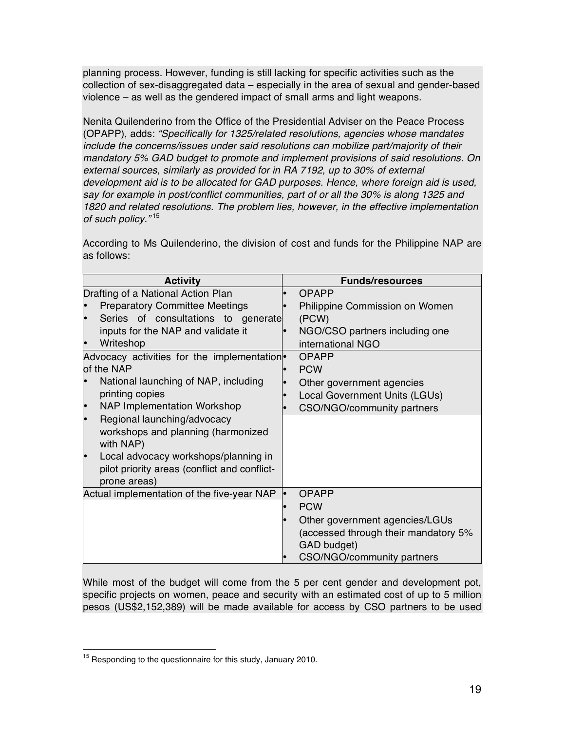planning process. However, funding is still lacking for specific activities such as the collection of sex-disaggregated data – especially in the area of sexual and gender-based violence – as well as the gendered impact of small arms and light weapons.

Nenita Quilenderino from the Office of the Presidential Adviser on the Peace Process (OPAPP), adds: *"Specifically for 1325/related resolutions, agencies whose mandates include the concerns/issues under said resolutions can mobilize part/majority of their mandatory 5% GAD budget to promote and implement provisions of said resolutions. On external sources, similarly as provided for in RA 7192, up to 30% of external development aid is to be allocated for GAD purposes. Hence, where foreign aid is used, say for example in post/conflict communities, part of or all the 30% is along 1325 and 1820 and related resolutions. The problem lies, however, in the effective implementation of such policy."* <sup>15</sup>

According to Ms Quilenderino, the division of cost and funds for the Philippine NAP are as follows:

| <b>Activity</b>                                         | <b>Funds/resources</b>               |
|---------------------------------------------------------|--------------------------------------|
| Drafting of a National Action Plan                      | <b>OPAPP</b>                         |
| <b>Preparatory Committee Meetings</b>                   | Philippine Commission on Women       |
| Series of consultations to generate                     | (PCW)                                |
| inputs for the NAP and validate it                      | NGO/CSO partners including one       |
| Writeshop                                               | international NGO                    |
| Advocacy activities for the implementation <sup>®</sup> | OPAPP                                |
| of the NAP                                              | <b>PCW</b>                           |
| National launching of NAP, including                    | Other government agencies            |
| printing copies                                         | Local Government Units (LGUs)        |
| <b>NAP Implementation Workshop</b><br>l.                | CSO/NGO/community partners           |
| Regional launching/advocacy<br>l.                       |                                      |
| workshops and planning (harmonized<br>with NAP)         |                                      |
| Local advocacy workshops/planning in<br>l•              |                                      |
| pilot priority areas (conflict and conflict-            |                                      |
| prone areas)                                            |                                      |
| Actual implementation of the five-year NAP              | <b>OPAPP</b>                         |
|                                                         | <b>PCW</b>                           |
|                                                         | Other government agencies/LGUs       |
|                                                         | (accessed through their mandatory 5% |
|                                                         | GAD budget)                          |
|                                                         | CSO/NGO/community partners           |

While most of the budget will come from the 5 per cent gender and development pot, specific projects on women, peace and security with an estimated cost of up to 5 million pesos (US\$2,152,389) will be made available for access by CSO partners to be used

<sup>&</sup>lt;sup>15</sup> Responding to the questionnaire for this study, January 2010.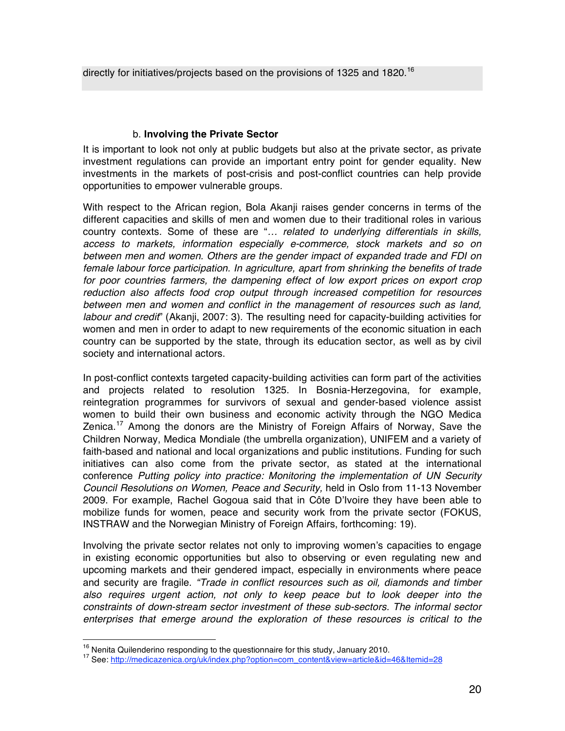directly for initiatives/projects based on the provisions of 1325 and 1820.<sup>16</sup>

#### b. **Involving the Private Sector**

It is important to look not only at public budgets but also at the private sector, as private investment regulations can provide an important entry point for gender equality. New investments in the markets of post-crisis and post-conflict countries can help provide opportunities to empower vulnerable groups.

With respect to the African region, Bola Akanji raises gender concerns in terms of the different capacities and skills of men and women due to their traditional roles in various country contexts. Some of these are "*… related to underlying differentials in skills, access to markets, information especially e-commerce, stock markets and so on between men and women. Others are the gender impact of expanded trade and FDI on female labour force participation. In agriculture, apart from shrinking the benefits of trade for poor countries farmers, the dampening effect of low export prices on export crop reduction also affects food crop output through increased competition for resources between men and women and conflict in the management of resources such as land, labour and credit*" (Akanji, 2007: 3). The resulting need for capacity-building activities for women and men in order to adapt to new requirements of the economic situation in each country can be supported by the state, through its education sector, as well as by civil society and international actors.

In post-conflict contexts targeted capacity-building activities can form part of the activities and projects related to resolution 1325. In Bosnia-Herzegovina, for example, reintegration programmes for survivors of sexual and gender-based violence assist women to build their own business and economic activity through the NGO Medica Zenica.<sup>17</sup> Among the donors are the Ministry of Foreign Affairs of Norway, Save the Children Norway, Medica Mondiale (the umbrella organization), UNIFEM and a variety of faith-based and national and local organizations and public institutions. Funding for such initiatives can also come from the private sector, as stated at the international conference *Putting policy into practice: Monitoring the implementation of UN Security Council Resolutions on Women, Peace and Security,* held in Oslo from 11-13 November 2009. For example, Rachel Gogoua said that in Côte D'Ivoire they have been able to mobilize funds for women, peace and security work from the private sector (FOKUS, INSTRAW and the Norwegian Ministry of Foreign Affairs, forthcoming: 19).

Involving the private sector relates not only to improving women's capacities to engage in existing economic opportunities but also to observing or even regulating new and upcoming markets and their gendered impact, especially in environments where peace and security are fragile. *"Trade in conflict resources such as oil, diamonds and timber*  also requires urgent action, not only to keep peace but to look deeper into the *constraints of down-stream sector investment of these sub-sectors. The informal sector enterprises that emerge around the exploration of these resources is critical to the* 

<sup>&</sup>lt;sup>16</sup> Nenita Quilenderino responding to the questionnaire for this study, January 2010.<br><sup>17</sup> See: http://medicazenica.org/uk/index.php?option=com\_content&view=article&id=46&Itemid=28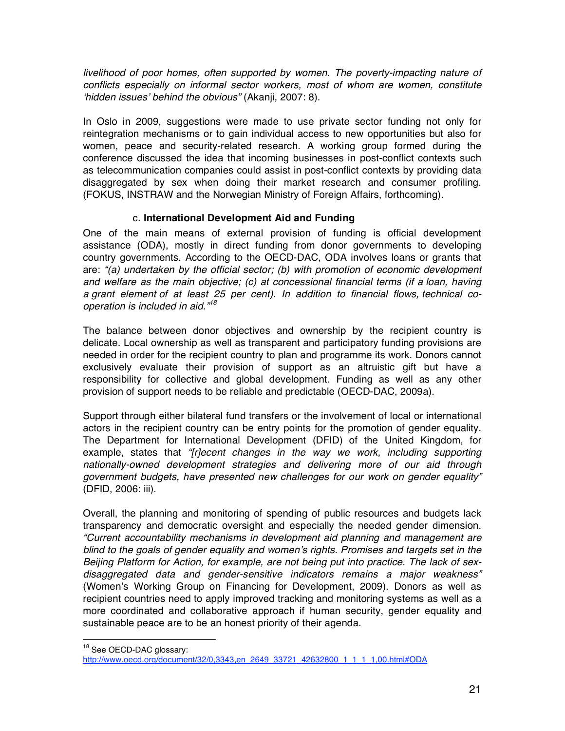livelihood of poor homes, often supported by women. The poverty-impacting nature of *conflicts especially on informal sector workers, most of whom are women, constitute*  ʻ*hidden issues*' *behind the obvious"* (Akanji, 2007: 8).

In Oslo in 2009, suggestions were made to use private sector funding not only for reintegration mechanisms or to gain individual access to new opportunities but also for women, peace and security-related research. A working group formed during the conference discussed the idea that incoming businesses in post-conflict contexts such as telecommunication companies could assist in post-conflict contexts by providing data disaggregated by sex when doing their market research and consumer profiling. (FOKUS, INSTRAW and the Norwegian Ministry of Foreign Affairs, forthcoming).

### c. **International Development Aid and Funding**

One of the main means of external provision of funding is official development assistance (ODA), mostly in direct funding from donor governments to developing country governments. According to the OECD-DAC, ODA involves loans or grants that are: *"(a) undertaken by the official sector; (b) with promotion of economic development and welfare as the main objective; (c) at concessional financial terms (if a loan, having a grant element of at least 25 per cent). In addition to financial flows, technical cooperation is included in aid."<sup>18</sup>*

The balance between donor objectives and ownership by the recipient country is delicate. Local ownership as well as transparent and participatory funding provisions are needed in order for the recipient country to plan and programme its work. Donors cannot exclusively evaluate their provision of support as an altruistic gift but have a responsibility for collective and global development. Funding as well as any other provision of support needs to be reliable and predictable (OECD-DAC, 2009a).

Support through either bilateral fund transfers or the involvement of local or international actors in the recipient country can be entry points for the promotion of gender equality. The Department for International Development (DFID) of the United Kingdom, for example, states that "*[r]ecent changes in the way we work, including supporting nationally-owned development strategies and delivering more of our aid through government budgets, have presented new challenges for our work on gender equality"*  (DFID, 2006: iii).

Overall, the planning and monitoring of spending of public resources and budgets lack transparency and democratic oversight and especially the needed gender dimension. *"Current accountability mechanisms in development aid planning and management are blind to the goals of gender equality and women*'*s rights. Promises and targets set in the Beijing Platform for Action, for example, are not being put into practice. The lack of sexdisaggregated data and gender-sensitive indicators remains a major weakness"*  (Women's Working Group on Financing for Development, 2009). Donors as well as recipient countries need to apply improved tracking and monitoring systems as well as a more coordinated and collaborative approach if human security, gender equality and sustainable peace are to be an honest priority of their agenda.

<sup>&</sup>lt;sup>18</sup> See OECD-DAC glossary:

http://www.oecd.org/document/32/0,3343,en\_2649\_33721\_42632800\_1\_1\_1\_1,00.html#ODA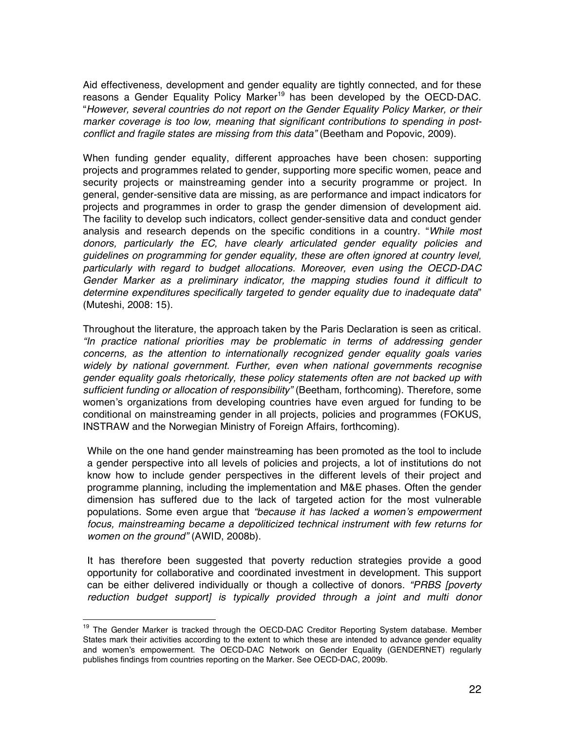Aid effectiveness, development and gender equality are tightly connected, and for these reasons a Gender Equality Policy Marker<sup>19</sup> has been developed by the OECD-DAC. "*However, several countries do not report on the Gender Equality Policy Marker, or their marker coverage is too low, meaning that significant contributions to spending in postconflict and fragile states are missing from this data"* (Beetham and Popovic, 2009).

When funding gender equality, different approaches have been chosen: supporting projects and programmes related to gender, supporting more specific women, peace and security projects or mainstreaming gender into a security programme or project. In general, gender-sensitive data are missing, as are performance and impact indicators for projects and programmes in order to grasp the gender dimension of development aid. The facility to develop such indicators, collect gender-sensitive data and conduct gender analysis and research depends on the specific conditions in a country. "*While most donors, particularly the EC, have clearly articulated gender equality policies and guidelines on programming for gender equality, these are often ignored at country level, particularly with regard to budget allocations. Moreover, even using the OECD-DAC Gender Marker as a preliminary indicator, the mapping studies found it difficult to determine expenditures specifically targeted to gender equality due to inadequate data*" (Muteshi, 2008: 15).

Throughout the literature, the approach taken by the Paris Declaration is seen as critical. *"In practice national priorities may be problematic in terms of addressing gender concerns, as the attention to internationally recognized gender equality goals varies widely by national government. Further, even when national governments recognise gender equality goals rhetorically, these policy statements often are not backed up with sufficient funding or allocation of responsibility"* (Beetham, forthcoming). Therefore, some women's organizations from developing countries have even argued for funding to be conditional on mainstreaming gender in all projects, policies and programmes (FOKUS, INSTRAW and the Norwegian Ministry of Foreign Affairs, forthcoming).

While on the one hand gender mainstreaming has been promoted as the tool to include a gender perspective into all levels of policies and projects, a lot of institutions do not know how to include gender perspectives in the different levels of their project and programme planning, including the implementation and M&E phases. Often the gender dimension has suffered due to the lack of targeted action for the most vulnerable populations. Some even argue that *"because it has lacked a women*'*s empowerment focus, mainstreaming became a depoliticized technical instrument with few returns for women on the ground"* (AWID, 2008b).

It has therefore been suggested that poverty reduction strategies provide a good opportunity for collaborative and coordinated investment in development. This support can be either delivered individually or though a collective of donors. *"PRBS [poverty reduction budget support] is typically provided through a joint and multi donor* 

<sup>&</sup>lt;sup>19</sup> The Gender Marker is tracked through the OECD-DAC Creditor Reporting System database. Member States mark their activities according to the extent to which these are intended to advance gender equality and women's empowerment. The OECD-DAC Network on Gender Equality (GENDERNET) regularly publishes findings from countries reporting on the Marker. See OECD-DAC, 2009b.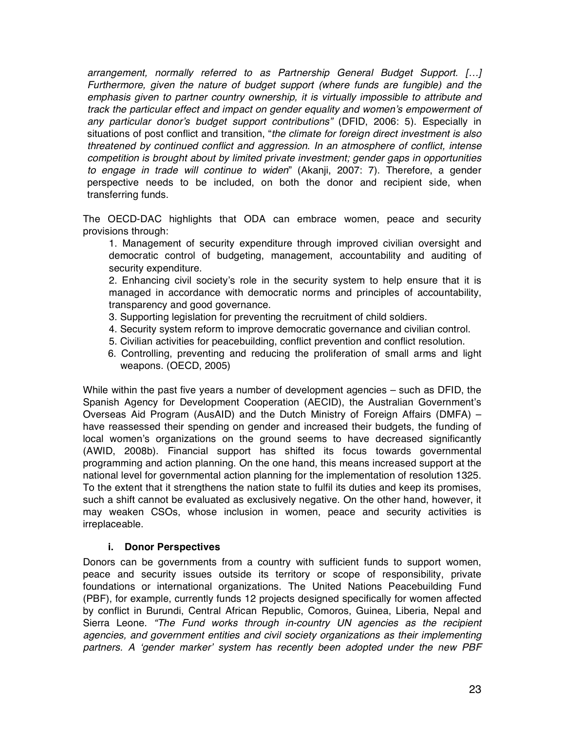*arrangement, normally referred to as Partnership General Budget Support. […] Furthermore, given the nature of budget support (where funds are fungible) and the emphasis given to partner country ownership, it is virtually impossible to attribute and track the particular effect and impact on gender equality and women*'*s empowerment of any particular donor*'*s budget support contributions"* (DFID, 2006: 5). Especially in situations of post conflict and transition, "*the climate for foreign direct investment is also threatened by continued conflict and aggression. In an atmosphere of conflict, intense competition is brought about by limited private investment; gender gaps in opportunities to engage in trade will continue to widen*" (Akanji, 2007: 7). Therefore, a gender perspective needs to be included, on both the donor and recipient side, when transferring funds.

The OECD-DAC highlights that ODA can embrace women, peace and security provisions through:

1. Management of security expenditure through improved civilian oversight and democratic control of budgeting, management, accountability and auditing of security expenditure.

2. Enhancing civil society's role in the security system to help ensure that it is managed in accordance with democratic norms and principles of accountability, transparency and good governance.

- 3. Supporting legislation for preventing the recruitment of child soldiers.
- 4. Security system reform to improve democratic governance and civilian control.
- 5. Civilian activities for peacebuilding, conflict prevention and conflict resolution.
- 6. Controlling, preventing and reducing the proliferation of small arms and light weapons. (OECD, 2005)

While within the past five years a number of development agencies – such as DFID, the Spanish Agency for Development Cooperation (AECID), the Australian Government's Overseas Aid Program (AusAID) and the Dutch Ministry of Foreign Affairs (DMFA) – have reassessed their spending on gender and increased their budgets, the funding of local women's organizations on the ground seems to have decreased significantly (AWID, 2008b). Financial support has shifted its focus towards governmental programming and action planning. On the one hand, this means increased support at the national level for governmental action planning for the implementation of resolution 1325. To the extent that it strengthens the nation state to fulfil its duties and keep its promises, such a shift cannot be evaluated as exclusively negative. On the other hand, however, it may weaken CSOs, whose inclusion in women, peace and security activities is irreplaceable.

#### **i. Donor Perspectives**

Donors can be governments from a country with sufficient funds to support women, peace and security issues outside its territory or scope of responsibility, private foundations or international organizations. The United Nations Peacebuilding Fund (PBF), for example, currently funds 12 projects designed specifically for women affected by conflict in Burundi, Central African Republic, Comoros, Guinea, Liberia, Nepal and Sierra Leone. *"The Fund works through in-country UN agencies as the recipient agencies, and government entities and civil society organizations as their implementing partners. A* ʻ*gender marker*' *system has recently been adopted under the new PBF*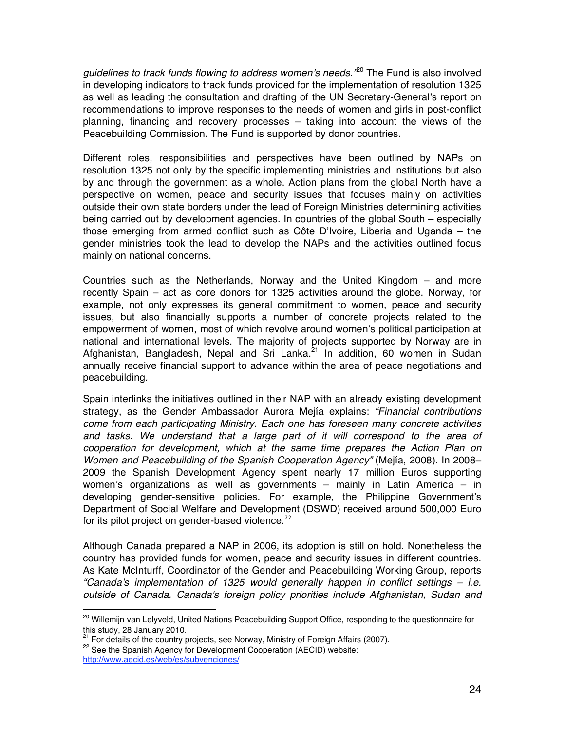*guidelines to track funds flowing to address women*'*s needs."*20 The Fund is also involved in developing indicators to track funds provided for the implementation of resolution 1325 as well as leading the consultation and drafting of the UN Secretary-General's report on recommendations to improve responses to the needs of women and girls in post-conflict planning, financing and recovery processes – taking into account the views of the Peacebuilding Commission. The Fund is supported by donor countries.

Different roles, responsibilities and perspectives have been outlined by NAPs on resolution 1325 not only by the specific implementing ministries and institutions but also by and through the government as a whole. Action plans from the global North have a perspective on women, peace and security issues that focuses mainly on activities outside their own state borders under the lead of Foreign Ministries determining activities being carried out by development agencies. In countries of the global South – especially those emerging from armed conflict such as Côte D'Ivoire, Liberia and Uganda – the gender ministries took the lead to develop the NAPs and the activities outlined focus mainly on national concerns.

Countries such as the Netherlands, Norway and the United Kingdom – and more recently Spain – act as core donors for 1325 activities around the globe. Norway, for example, not only expresses its general commitment to women, peace and security issues, but also financially supports a number of concrete projects related to the empowerment of women, most of which revolve around women's political participation at national and international levels. The majority of projects supported by Norway are in Afghanistan, Bangladesh, Nepal and Sri Lanka. $^{21}$  In addition, 60 women in Sudan annually receive financial support to advance within the area of peace negotiations and peacebuilding*.*

Spain interlinks the initiatives outlined in their NAP with an already existing development strategy, as the Gender Ambassador Aurora Mejía explains: *"Financial contributions come from each participating Ministry. Each one has foreseen many concrete activities*  and tasks. We understand that a large part of it will correspond to the area of *cooperation for development, which at the same time prepares the Action Plan on Women and Peacebuilding of the Spanish Cooperation Agency"* (Mejía, 2008). In 2008– 2009 the Spanish Development Agency spent nearly 17 million Euros supporting women's organizations as well as governments – mainly in Latin America – in developing gender-sensitive policies. For example, the Philippine Government's Department of Social Welfare and Development (DSWD) received around 500,000 Euro for its pilot project on gender-based violence. $22$ 

Although Canada prepared a NAP in 2006, its adoption is still on hold. Nonetheless the country has provided funds for women, peace and security issues in different countries. As Kate McInturff, Coordinator of the Gender and Peacebuilding Working Group, reports *"Canada's implementation of 1325 would generally happen in conflict settings – i.e. outside of Canada. Canada's foreign policy priorities include Afghanistan, Sudan and* 

<sup>&</sup>lt;sup>20</sup> Willemijn van Lelyveld, United Nations Peacebuilding Support Office, responding to the questionnaire for this study, 28 January 2010.

<sup>&</sup>lt;sup>21</sup> For details of the country projects, see Norway, Ministry of Foreign Affairs (2007).<br><sup>22</sup> See the Spanish Agency for Development Cooperation (AECID) website:

http://www.aecid.es/web/es/subvenciones/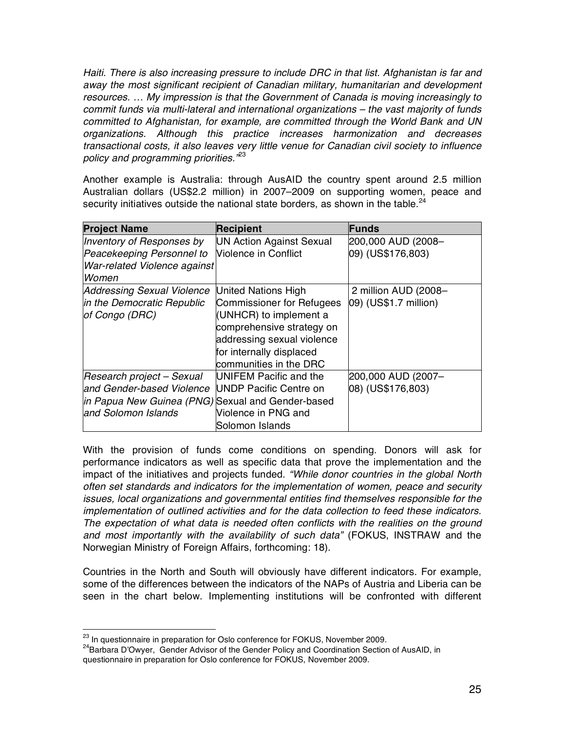*Haiti. There is also increasing pressure to include DRC in that list. Afghanistan is far and away the most significant recipient of Canadian military, humanitarian and development resources. … My impression is that the Government of Canada is moving increasingly to commit funds via multi-lateral and international organizations – the vast majority of funds committed to Afghanistan, for example, are committed through the World Bank and UN organizations. Although this practice increases harmonization and decreases transactional costs, it also leaves very little venue for Canadian civil society to influence policy and programming priorities."*<sup>23</sup>

Another example is Australia: through AusAID the country spent around 2.5 million Australian dollars (US\$2.2 million) in 2007–2009 on supporting women, peace and security initiatives outside the national state borders, as shown in the table. $^{24}$ 

| <b>Project Name</b>                               | <b>Recipient</b>                | <b>Funds</b>          |
|---------------------------------------------------|---------------------------------|-----------------------|
| Inventory of Responses by                         | <b>UN Action Against Sexual</b> | 200,000 AUD (2008-    |
| Peacekeeping Personnel to                         | <b>Violence in Conflict</b>     | 09) (US\$176,803)     |
| War-related Violence against                      |                                 |                       |
| <i>Women</i>                                      |                                 |                       |
| <b>Addressing Sexual Violence</b>                 | United Nations High             | 2 million AUD (2008-  |
| in the Democratic Republic                        | Commissioner for Refugees       | 09) (US\$1.7 million) |
| of Congo (DRC)                                    | (UNHCR) to implement a          |                       |
|                                                   | comprehensive strategy on       |                       |
|                                                   | addressing sexual violence      |                       |
|                                                   | for internally displaced        |                       |
|                                                   | communities in the DRC          |                       |
| Research project - Sexual                         | UNIFEM Pacific and the          | 200,000 AUD (2007-    |
| and Gender-based Violence                         | UNDP Pacific Centre on          | 08) (US\$176,803)     |
| in Papua New Guinea (PNG) Sexual and Gender-based |                                 |                       |
| and Solomon Islands                               | Violence in PNG and             |                       |
|                                                   | Solomon Islands                 |                       |

With the provision of funds come conditions on spending. Donors will ask for performance indicators as well as specific data that prove the implementation and the impact of the initiatives and projects funded. *"While donor countries in the global North often set standards and indicators for the implementation of women, peace and security issues, local organizations and governmental entities find themselves responsible for the implementation of outlined activities and for the data collection to feed these indicators. The expectation of what data is needed often conflicts with the realities on the ground and most importantly with the availability of such data"* (FOKUS, INSTRAW and the Norwegian Ministry of Foreign Affairs, forthcoming: 18).

Countries in the North and South will obviously have different indicators. For example, some of the differences between the indicators of the NAPs of Austria and Liberia can be seen in the chart below. Implementing institutions will be confronted with different

<sup>&</sup>lt;sup>23</sup> In questionnaire in preparation for Oslo conference for FOKUS, November 2009.<br><sup>24</sup>Barbara D'Owyer, Gender Advisor of the Gender Policy and Coordination Section of AusAID, in questionnaire in preparation for Oslo conference for FOKUS, November 2009.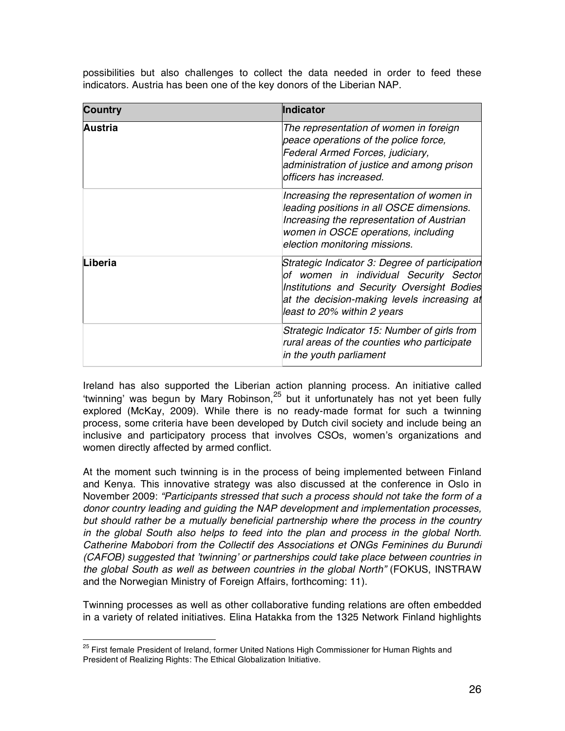| <b>Country</b> | <b>Indicator</b>                                                                                                                                                                                                     |
|----------------|----------------------------------------------------------------------------------------------------------------------------------------------------------------------------------------------------------------------|
| Austria        | The representation of women in foreign<br>peace operations of the police force,<br>Federal Armed Forces, judiciary,<br>administration of justice and among prison<br>officers has increased.                         |
|                | Increasing the representation of women in<br>leading positions in all OSCE dimensions.<br>Increasing the representation of Austrian<br>women in OSCE operations, including<br>election monitoring missions.          |
| Liberia        | Strategic Indicator 3: Degree of participation<br>of women in individual Security Sector<br>Institutions and Security Oversight Bodies<br>at the decision-making levels increasing at<br>least to 20% within 2 years |
|                | Strategic Indicator 15: Number of girls from<br>rural areas of the counties who participate<br>in the youth parliament                                                                                               |

possibilities but also challenges to collect the data needed in order to feed these indicators. Austria has been one of the key donors of the Liberian NAP.

Ireland has also supported the Liberian action planning process. An initiative called ʻtwinning' was begun by Mary Robinson,<sup>25</sup> but it unfortunately has not yet been fully explored (McKay, 2009). While there is no ready-made format for such a twinning process, some criteria have been developed by Dutch civil society and include being an inclusive and participatory process that involves CSOs, women's organizations and women directly affected by armed conflict.

At the moment such twinning is in the process of being implemented between Finland and Kenya. This innovative strategy was also discussed at the conference in Oslo in November 2009: *"Participants stressed that such a process should not take the form of a donor country leading and guiding the NAP development and implementation processes, but should rather be a mutually beneficial partnership where the process in the country in the global South also helps to feed into the plan and process in the global North. Catherine Mabobori from the Collectif des Associations et ONGs Feminines du Burundi (CAFOB) suggested that* '*twinning*' *or partnerships could take place between countries in the global South as well as between countries in the global North"* (FOKUS, INSTRAW and the Norwegian Ministry of Foreign Affairs, forthcoming: 11).

Twinning processes as well as other collaborative funding relations are often embedded in a variety of related initiatives. Elina Hatakka from the 1325 Network Finland highlights

<sup>&</sup>lt;sup>25</sup> First female President of Ireland, former United Nations High Commissioner for Human Rights and President of Realizing Rights: The Ethical Globalization Initiative.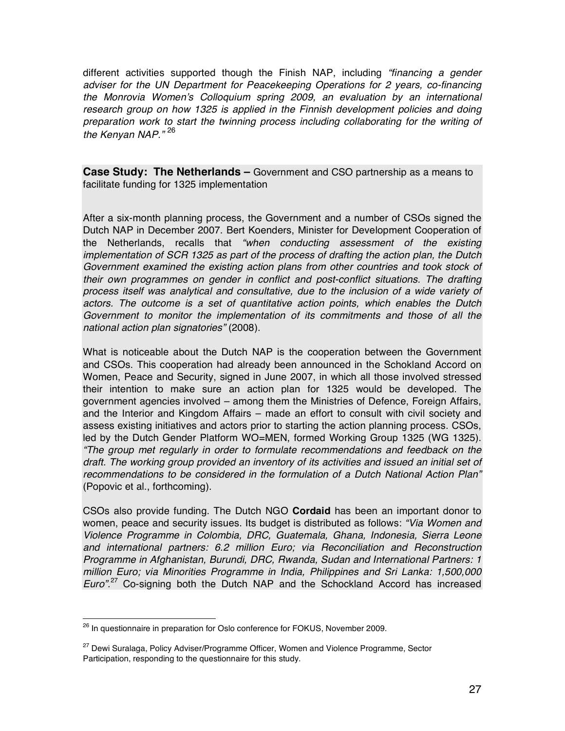different activities supported though the Finish NAP, including *"financing a gender adviser for the UN Department for Peacekeeping Operations for 2 years, co-financing the Monrovia Women*'*s Colloquium spring 2009, an evaluation by an international research group on how 1325 is applied in the Finnish development policies and doing preparation work to start the twinning process including collaborating for the writing of the Kenyan NAP."* <sup>26</sup>

**Case Study: The Netherlands –** Government and CSO partnership as a means to facilitate funding for 1325 implementation

After a six-month planning process, the Government and a number of CSOs signed the Dutch NAP in December 2007. Bert Koenders, Minister for Development Cooperation of the Netherlands, recalls that *"when conducting assessment of the existing implementation of SCR 1325 as part of the process of drafting the action plan, the Dutch Government examined the existing action plans from other countries and took stock of their own programmes on gender in conflict and post-conflict situations. The drafting process itself was analytical and consultative, due to the inclusion of a wide variety of actors. The outcome is a set of quantitative action points, which enables the Dutch Government to monitor the implementation of its commitments and those of all the national action plan signatories"* (2008).

What is noticeable about the Dutch NAP is the cooperation between the Government and CSOs. This cooperation had already been announced in the Schokland Accord on Women, Peace and Security, signed in June 2007, in which all those involved stressed their intention to make sure an action plan for 1325 would be developed. The government agencies involved – among them the Ministries of Defence, Foreign Affairs, and the Interior and Kingdom Affairs – made an effort to consult with civil society and assess existing initiatives and actors prior to starting the action planning process. CSOs, led by the Dutch Gender Platform WO=MEN, formed Working Group 1325 (WG 1325). *"The group met regularly in order to formulate recommendations and feedback on the draft. The working group provided an inventory of its activities and issued an initial set of recommendations to be considered in the formulation of a Dutch National Action Plan"*  (Popovic et al., forthcoming).

CSOs also provide funding. The Dutch NGO **Cordaid** has been an important donor to women, peace and security issues. Its budget is distributed as follows: *"Via Women and Violence Programme in Colombia, DRC, Guatemala, Ghana, Indonesia, Sierra Leone and international partners: 6.2 million Euro; via Reconciliation and Reconstruction Programme in Afghanistan, Burundi, DRC, Rwanda, Sudan and International Partners: 1 million Euro; via Minorities Programme in India, Philippines and Sri Lanka: 1,500,000 Euro".* <sup>27</sup> Co-signing both the Dutch NAP and the Schockland Accord has increased

 <sup>26</sup> In questionnaire in preparation for Oslo conference for FOKUS, November 2009*.*

<sup>&</sup>lt;sup>27</sup> Dewi Suralaga, Policy Adviser/Programme Officer, Women and Violence Programme, Sector Participation, responding to the questionnaire for this study.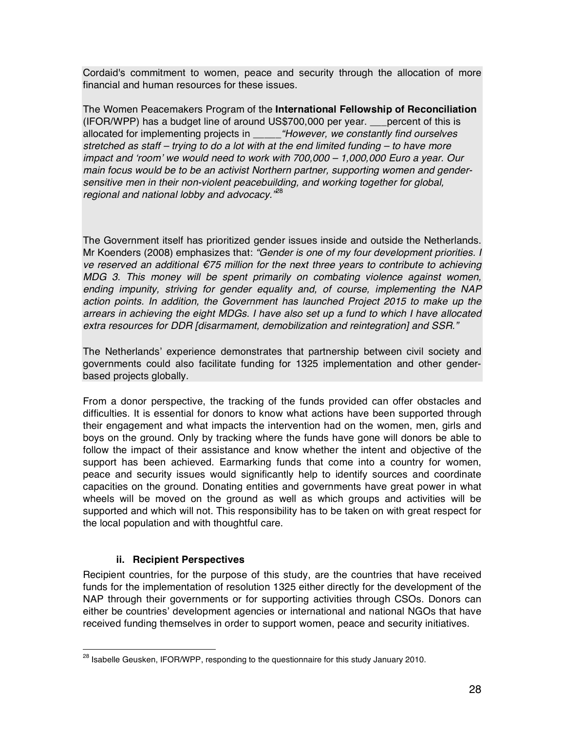Cordaid's commitment to women, peace and security through the allocation of more financial and human resources for these issues.

The Women Peacemakers Program of the **International Fellowship of Reconciliation** (IFOR/WPP) has a budget line of around US\$700,000 per year. \_\_\_percent of this is allocated for implementing projects in \_\_\_\_\_*"However, we constantly find ourselves stretched as staff – trying to do a lot with at the end limited funding – to have more impact and* ʻ*room*' *we would need to work with 700,000 – 1,000,000 Euro a year. Our main focus would be to be an activist Northern partner, supporting women and gendersensitive men in their non-violent peacebuilding, and working together for global, regional and national lobby and advocacy."*<sup>28</sup>

The Government itself has prioritized gender issues inside and outside the Netherlands. Mr Koenders (2008) emphasizes that: *"Gender is one of my four development priorities. I ve reserved an additional* €*75 million for the next three years to contribute to achieving MDG 3. This money will be spent primarily on combating violence against women, ending impunity, striving for gender equality and, of course, implementing the NAP action points. In addition, the Government has launched Project 2015 to make up the arrears in achieving the eight MDGs. I have also set up a fund to which I have allocated extra resources for DDR [disarmament, demobilization and reintegration] and SSR."*

The Netherlands' experience demonstrates that partnership between civil society and governments could also facilitate funding for 1325 implementation and other genderbased projects globally.

From a donor perspective, the tracking of the funds provided can offer obstacles and difficulties. It is essential for donors to know what actions have been supported through their engagement and what impacts the intervention had on the women, men, girls and boys on the ground. Only by tracking where the funds have gone will donors be able to follow the impact of their assistance and know whether the intent and objective of the support has been achieved. Earmarking funds that come into a country for women, peace and security issues would significantly help to identify sources and coordinate capacities on the ground. Donating entities and governments have great power in what wheels will be moved on the ground as well as which groups and activities will be supported and which will not. This responsibility has to be taken on with great respect for the local population and with thoughtful care.

### **ii. Recipient Perspectives**

Recipient countries, for the purpose of this study, are the countries that have received funds for the implementation of resolution 1325 either directly for the development of the NAP through their governments or for supporting activities through CSOs. Donors can either be countries' development agencies or international and national NGOs that have received funding themselves in order to support women, peace and security initiatives.

<sup>&</sup>lt;sup>28</sup> Isabelle Geusken, IFOR/WPP, responding to the questionnaire for this study January 2010.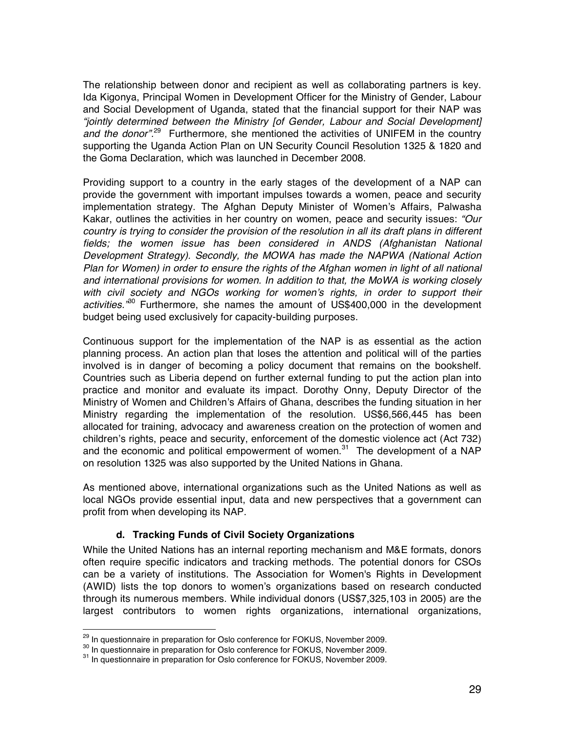The relationship between donor and recipient as well as collaborating partners is key. Ida Kigonya, Principal Women in Development Officer for the Ministry of Gender, Labour and Social Development of Uganda, stated that the financial support for their NAP was *"jointly determined between the Ministry [of Gender, Labour and Social Development] and the donor".*29 Furthermore, she mentioned the activities of UNIFEM in the country supporting the Uganda Action Plan on UN Security Council Resolution 1325 & 1820 and the Goma Declaration, which was launched in December 2008.

Providing support to a country in the early stages of the development of a NAP can provide the government with important impulses towards a women, peace and security implementation strategy. The Afghan Deputy Minister of Women's Affairs, Palwasha Kakar, outlines the activities in her country on women, peace and security issues: *"Our country is trying to consider the provision of the resolution in all its draft plans in different fields; the women issue has been considered in ANDS (Afghanistan National Development Strategy). Secondly, the MOWA has made the NAPWA (National Action Plan for Women) in order to ensure the rights of the Afghan women in light of all national and international provisions for women. In addition to that, the MoWA is working closely with civil society and NGOs working for women*'*s rights, in order to support their activities."*30 Furthermore, she names the amount of US\$400,000 in the development budget being used exclusively for capacity-building purposes.

Continuous support for the implementation of the NAP is as essential as the action planning process. An action plan that loses the attention and political will of the parties involved is in danger of becoming a policy document that remains on the bookshelf. Countries such as Liberia depend on further external funding to put the action plan into practice and monitor and evaluate its impact. Dorothy Onny, Deputy Director of the Ministry of Women and Children's Affairs of Ghana, describes the funding situation in her Ministry regarding the implementation of the resolution. US\$6,566,445 has been allocated for training, advocacy and awareness creation on the protection of women and children's rights, peace and security, enforcement of the domestic violence act (Act 732) and the economic and political empowerment of women.<sup>31</sup> The development of a NAP on resolution 1325 was also supported by the United Nations in Ghana.

As mentioned above, international organizations such as the United Nations as well as local NGOs provide essential input, data and new perspectives that a government can profit from when developing its NAP.

#### **d. Tracking Funds of Civil Society Organizations**

While the United Nations has an internal reporting mechanism and M&E formats, donors often require specific indicators and tracking methods. The potential donors for CSOs can be a variety of institutions. The Association for Women's Rights in Development (AWID) lists the top donors to women's organizations based on research conducted through its numerous members. While individual donors (US\$7,325,103 in 2005) are the largest contributors to women rights organizations, international organizations,

<sup>&</sup>lt;sup>29</sup> In questionnaire in preparation for Oslo conference for FOKUS, November 2009.<br><sup>30</sup> In questionnaire in preparation for Oslo conference for FOKUS, November 2009.<br><sup>31</sup> In questionnaire in preparation for Oslo conferenc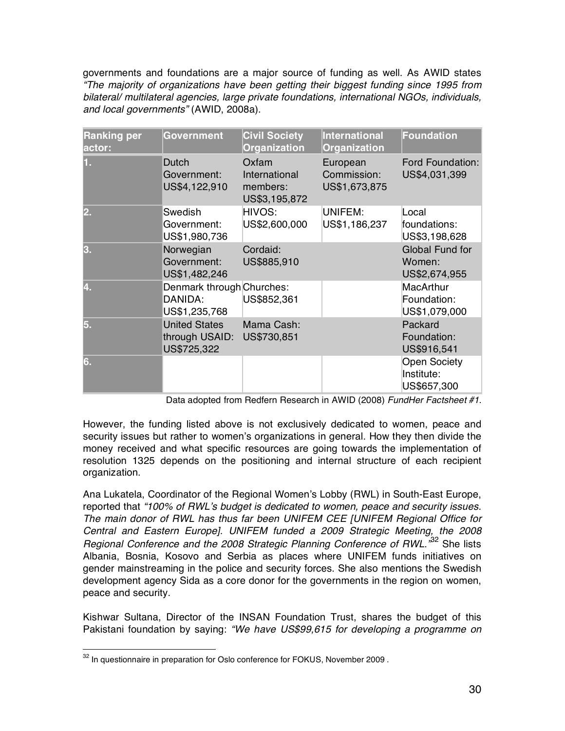governments and foundations are a major source of funding as well. As AWID states *"The majority of organizations have been getting their biggest funding since 1995 from bilateral/ multilateral agencies, large private foundations, international NGOs, individuals, and local governments"* (AWID, 2008a).

| <b>Ranking per</b><br>actor: | Government                                            | <b>Civil Society</b><br>Organization                | <b>International</b><br><b>Organization</b> | <b>Foundation</b>                                 |
|------------------------------|-------------------------------------------------------|-----------------------------------------------------|---------------------------------------------|---------------------------------------------------|
| 1.                           | Dutch<br>Government:<br>US\$4,122,910                 | Oxfam<br>International<br>members:<br>US\$3,195,872 | European<br>Commission:<br>US\$1,673,875    | Ford Foundation:<br>US\$4,031,399                 |
| 2.                           | Swedish<br>Government:<br>US\$1,980,736               | HIVOS:<br>US\$2,600,000                             | UNIFEM:<br>US\$1,186,237                    | Local<br>foundations:<br>US\$3,198,628            |
| 3.                           | Norwegian<br>Government:<br>US\$1,482,246             | Cordaid:<br>US\$885,910                             |                                             | <b>Global Fund for</b><br>Women:<br>US\$2,674,955 |
| 4.                           | Denmark through Churches:<br>DANIDA:<br>US\$1,235,768 | US\$852,361                                         |                                             | <b>MacArthur</b><br>Foundation:<br>US\$1,079,000  |
| 5.                           | <b>United States</b><br>through USAID:<br>US\$725,322 | Mama Cash:<br>US\$730,851                           |                                             | Packard<br>Foundation:<br>US\$916,541             |
| 6.                           |                                                       |                                                     |                                             | <b>Open Society</b><br>Institute:<br>US\$657,300  |

Data adopted from Redfern Research in AWID (2008) *FundHer Factsheet #1*.

However, the funding listed above is not exclusively dedicated to women, peace and security issues but rather to women's organizations in general. How they then divide the money received and what specific resources are going towards the implementation of resolution 1325 depends on the positioning and internal structure of each recipient organization.

Ana Lukatela, Coordinator of the Regional Women's Lobby (RWL) in South-East Europe, reported that *"100% of RWL*'*s budget is dedicated to women, peace and security issues. The main donor of RWL has thus far been UNIFEM CEE [UNIFEM Regional Office for Central and Eastern Europe]. UNIFEM funded a 2009 Strategic Meeting, the 2008 Regional Conference and the 2008 Strategic Planning Conference of RWL."*<sup>32</sup> She lists Albania, Bosnia, Kosovo and Serbia as places where UNIFEM funds initiatives on gender mainstreaming in the police and security forces. She also mentions the Swedish development agency Sida as a core donor for the governments in the region on women, peace and security.

Kishwar Sultana, Director of the INSAN Foundation Trust, shares the budget of this Pakistani foundation by saying: *"We have US\$99,615 for developing a programme on* 

 $32$  In questionnaire in preparation for Oslo conference for FOKUS, November 2009.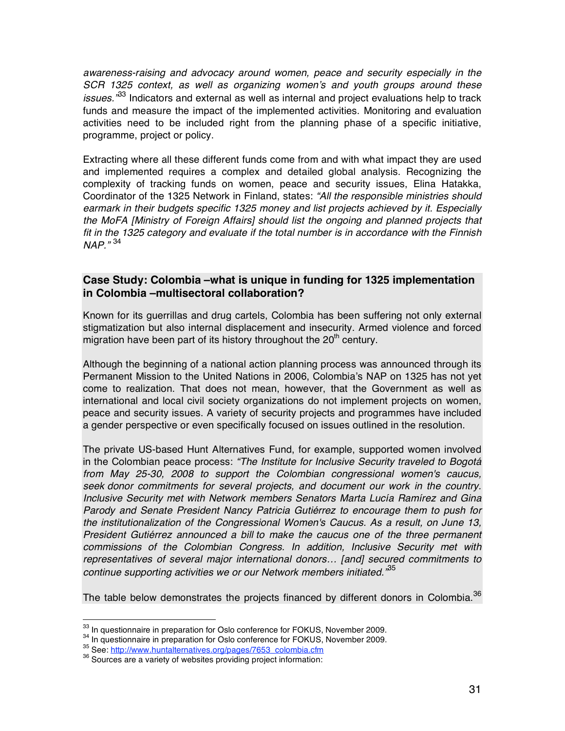*awareness-raising and advocacy around women, peace and security especially in the SCR 1325 context, as well as organizing women*'*s and youth groups around these issues."*<sup>33</sup> Indicators and external as well as internal and project evaluations help to track funds and measure the impact of the implemented activities. Monitoring and evaluation activities need to be included right from the planning phase of a specific initiative, programme, project or policy.

Extracting where all these different funds come from and with what impact they are used and implemented requires a complex and detailed global analysis. Recognizing the complexity of tracking funds on women, peace and security issues, Elina Hatakka, Coordinator of the 1325 Network in Finland, states: *"All the responsible ministries should earmark in their budgets specific 1325 money and list projects achieved by it. Especially the MoFA [Ministry of Foreign Affairs] should list the ongoing and planned projects that fit in the 1325 category and evaluate if the total number is in accordance with the Finnish NAP."* <sup>34</sup>

### **Case Study: Colombia –what is unique in funding for 1325 implementation in Colombia –multisectoral collaboration?**

Known for its guerrillas and drug cartels, Colombia has been suffering not only external stigmatization but also internal displacement and insecurity. Armed violence and forced migration have been part of its history throughout the  $20<sup>th</sup>$  century.

Although the beginning of a national action planning process was announced through its Permanent Mission to the United Nations in 2006, Colombia's NAP on 1325 has not yet come to realization. That does not mean, however, that the Government as well as international and local civil society organizations do not implement projects on women, peace and security issues. A variety of security projects and programmes have included a gender perspective or even specifically focused on issues outlined in the resolution.

The private US-based Hunt Alternatives Fund, for example, supported women involved in the Colombian peace process: *"The Institute for Inclusive Security traveled to Bogotá from May 25-30, 2008 to support the Colombian congressional women's caucus, seek donor commitments for several projects, and document our work in the country. Inclusive Security met with Network members Senators Marta Lucía Ramírez and Gina Parody and Senate President Nancy Patricia Gutiérrez to encourage them to push for the institutionalization of the Congressional Women's Caucus. As a result, on June 13, President Gutiérrez announced a bill to make the caucus one of the three permanent commissions of the Colombian Congress. In addition, Inclusive Security met with representatives of several major international donors… [and] secured commitments to continue supporting activities we or our Network members initiated."*<sup>35</sup>

The table below demonstrates the projects financed by different donors in Colombia.<sup>36</sup>

<sup>&</sup>lt;sup>33</sup> In questionnaire in preparation for Oslo conference for FOKUS, November 2009.<br><sup>34</sup> In questionnaire in preparation for Oslo conference for FOKUS, November 2009.<br><sup>35</sup> See: http://www.huntalternatives.org/pages/7653 co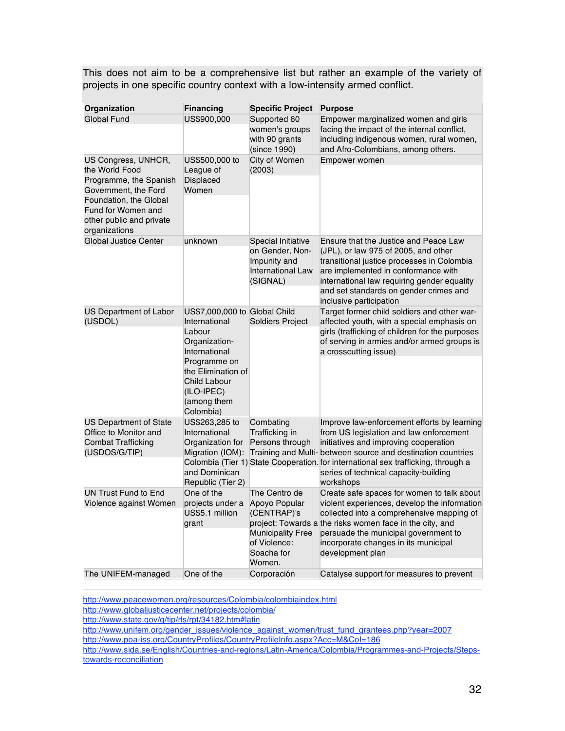This does not aim to be a comprehensive list but rather an example of the variety of projects in one specific country context with a low-intensity armed conflict.

| Organization                                                                                                                                                                         | <b>Financing</b>                                                                                                                                                                           | <b>Specific Project</b>                                                                                                          | <b>Purpose</b>                                                                                                                                                                                                                                                                                                                                             |
|--------------------------------------------------------------------------------------------------------------------------------------------------------------------------------------|--------------------------------------------------------------------------------------------------------------------------------------------------------------------------------------------|----------------------------------------------------------------------------------------------------------------------------------|------------------------------------------------------------------------------------------------------------------------------------------------------------------------------------------------------------------------------------------------------------------------------------------------------------------------------------------------------------|
| <b>Global Fund</b>                                                                                                                                                                   | US\$900,000                                                                                                                                                                                | Supported 60<br>women's groups<br>with 90 grants<br>(since 1990)                                                                 | Empower marginalized women and girls<br>facing the impact of the internal conflict,<br>including indigenous women, rural women,<br>and Afro-Colombians, among others.                                                                                                                                                                                      |
| US Congress, UNHCR,<br>the World Food<br>Programme, the Spanish<br>Government, the Ford<br>Foundation, the Global<br>Fund for Women and<br>other public and private<br>organizations | US\$500,000 to<br>League of<br>Displaced<br>Women                                                                                                                                          | City of Women<br>(2003)                                                                                                          | Empower women                                                                                                                                                                                                                                                                                                                                              |
| Global Justice Center                                                                                                                                                                | unknown                                                                                                                                                                                    | Special Initiative<br>on Gender, Non-<br>Impunity and<br><b>International Law</b><br>(SIGNAL)                                    | Ensure that the Justice and Peace Law<br>(JPL), or law 975 of 2005, and other<br>transitional justice processes in Colombia<br>are implemented in conformance with<br>international law requiring gender equality<br>and set standards on gender crimes and<br>inclusive participation                                                                     |
| US Department of Labor<br>(USDOL)                                                                                                                                                    | US\$7,000,000 to Global Child<br>International<br>Labour<br>Organization-<br>International<br>Programme on<br>the Elimination of<br>Child Labour<br>(ILO-IPEC)<br>(among them<br>Colombia) | Soldiers Project                                                                                                                 | Target former child soldiers and other war-<br>affected youth, with a special emphasis on<br>girls (trafficking of children for the purposes<br>of serving in armies and/or armed groups is<br>a crosscutting issue)                                                                                                                                       |
| <b>US Department of State</b><br>Office to Monitor and<br><b>Combat Trafficking</b><br>(USDOS/G/TIP)                                                                                 | US\$263,285 to<br>International<br>Organization for<br>and Dominican<br>Republic (Tier 2)                                                                                                  | Combating<br>Trafficking in<br>Persons through                                                                                   | Improve law-enforcement efforts by learning<br>from US legislation and law enforcement<br>initiatives and improving cooperation<br>Migration (IOM): Training and Multi-between source and destination countries<br>Colombia (Tier 1) State Cooperation. for international sex trafficking, through a<br>series of technical capacity-building<br>workshops |
| <b>UN Trust Fund to End</b><br>Violence against Women<br>The UNIFEM-managed                                                                                                          | One of the<br>projects under a<br>US\$5.1 million<br>grant<br>One of the                                                                                                                   | The Centro de<br>Apoyo Popular<br>(CENTRAP)'s<br><b>Municipality Free</b><br>of Violence:<br>Soacha for<br>Women.<br>Corporación | Create safe spaces for women to talk about<br>violent experiences, develop the information<br>collected into a comprehensive mapping of<br>project: Towards a the risks women face in the city, and<br>persuade the municipal government to<br>incorporate changes in its municipal<br>development plan<br>Catalyse support for measures to prevent        |

 http://www.peacewomen.org/resources/Colombia/colombiaindex.html http://www.globaljusticecenter.net/projects/colombia/

http://www.state.gov/g/tip/rls/rpt/34182.htm#latin

http://www.unifem.org/gender\_issues/violence\_against\_women/trust\_fund\_grantees.php?year=2007 http://www.poa-iss.org/CountryProfiles/CountryProfileInfo.aspx?Acc=M&CoI=186

http://www.sida.se/English/Countries-and-regions/Latin-America/Colombia/Programmes-and-Projects/Stepstowards-reconciliation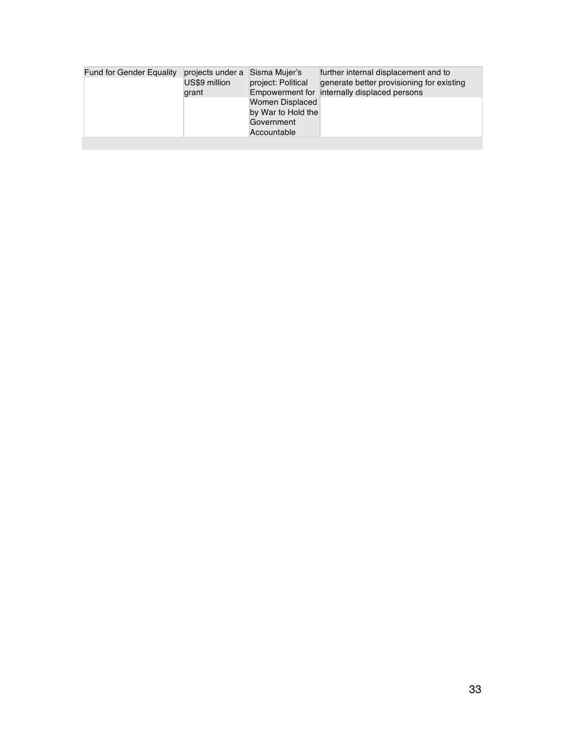| <b>Fund for Gender Equality</b> | projects under a Sisma Mujer's |                    | further internal displacement and to         |
|---------------------------------|--------------------------------|--------------------|----------------------------------------------|
|                                 | US\$9 million                  | project: Political | generate better provisioning for existing    |
|                                 | grant                          |                    | Empowerment for internally displaced persons |
|                                 |                                | Women Displaced    |                                              |
|                                 |                                | by War to Hold the |                                              |
|                                 |                                | Government         |                                              |
|                                 |                                | Accountable        |                                              |
|                                 |                                |                    |                                              |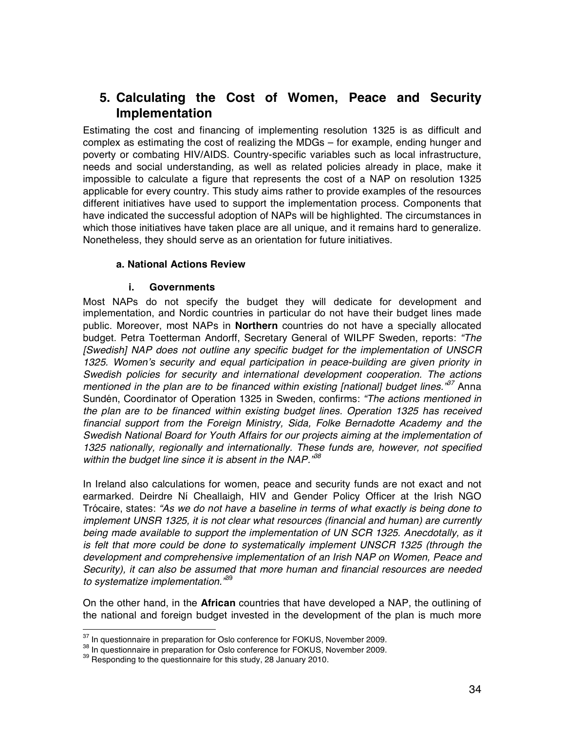# **5. Calculating the Cost of Women, Peace and Security Implementation**

Estimating the cost and financing of implementing resolution 1325 is as difficult and complex as estimating the cost of realizing the MDGs – for example, ending hunger and poverty or combating HIV/AIDS. Country-specific variables such as local infrastructure, needs and social understanding, as well as related policies already in place, make it impossible to calculate a figure that represents the cost of a NAP on resolution 1325 applicable for every country. This study aims rather to provide examples of the resources different initiatives have used to support the implementation process. Components that have indicated the successful adoption of NAPs will be highlighted. The circumstances in which those initiatives have taken place are all unique, and it remains hard to generalize. Nonetheless, they should serve as an orientation for future initiatives.

#### **a. National Actions Review**

#### **i. Governments**

Most NAPs do not specify the budget they will dedicate for development and implementation, and Nordic countries in particular do not have their budget lines made public. Moreover, most NAPs in **Northern** countries do not have a specially allocated budget. Petra Toetterman Andorff, Secretary General of WILPF Sweden, reports: *"The [Swedish] NAP does not outline any specific budget for the implementation of UNSCR 1325. Women*'*s security and equal participation in peace-building are given priority in Swedish policies for security and international development cooperation. The actions mentioned in the plan are to be financed within existing [national] budget lines."<sup>37</sup>* Anna Sundén, Coordinator of Operation 1325 in Sweden, confirms: *"The actions mentioned in the plan are to be financed within existing budget lines. Operation 1325 has received financial support from the Foreign Ministry, Sida, Folke Bernadotte Academy and the Swedish National Board for Youth Affairs for our projects aiming at the implementation of 1325 nationally, regionally and internationally. These funds are, however, not specified within the budget line since it is absent in the NAP."38*

In Ireland also calculations for women, peace and security funds are not exact and not earmarked. Deirdre Ní Cheallaigh, HIV and Gender Policy Officer at the Irish NGO Trócaire, states: *"As we do not have a baseline in terms of what exactly is being done to implement UNSR 1325, it is not clear what resources (financial and human) are currently being made available to support the implementation of UN SCR 1325. Anecdotally, as it is felt that more could be done to systematically implement UNSCR 1325 (through the development and comprehensive implementation of an Irish NAP on Women, Peace and Security), it can also be assumed that more human and financial resources are needed to systematize implementation."*<sup>39</sup>

On the other hand, in the **African** countries that have developed a NAP, the outlining of the national and foreign budget invested in the development of the plan is much more

 $^{37}$  In questionnaire in preparation for Oslo conference for FOKUS, November 2009.<br> $^{38}$  In questionnaire in preparation for Oslo conference for FOKUS, November 2009.<br> $^{39}$  Responding to the questionnaire for this stu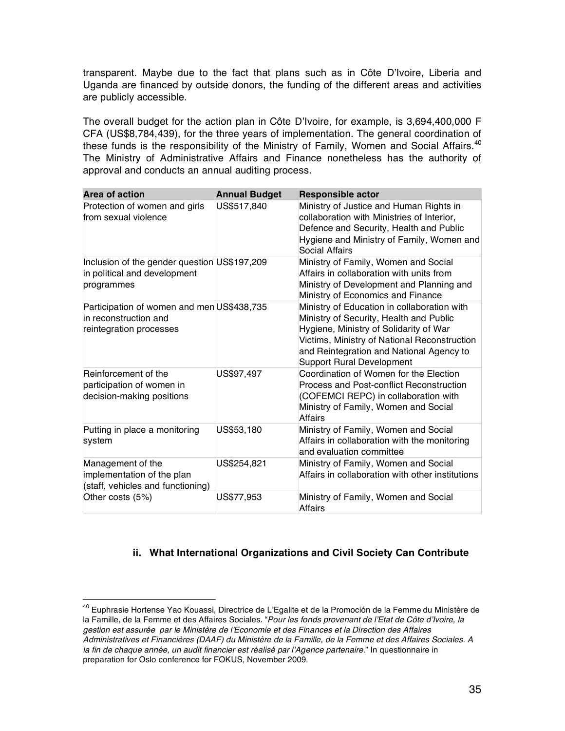transparent. Maybe due to the fact that plans such as in Côte D'Ivoire, Liberia and Uganda are financed by outside donors, the funding of the different areas and activities are publicly accessible.

The overall budget for the action plan in Côte D'Ivoire, for example, is 3,694,400,000 F CFA (US\$8,784,439), for the three years of implementation. The general coordination of these funds is the responsibility of the Ministry of Family, Women and Social Affairs.<sup>40</sup> The Ministry of Administrative Affairs and Finance nonetheless has the authority of approval and conducts an annual auditing process.

| Area of action                                                                                 | <b>Annual Budget</b> | Responsible actor                                                                                                                                                                                                                                                |
|------------------------------------------------------------------------------------------------|----------------------|------------------------------------------------------------------------------------------------------------------------------------------------------------------------------------------------------------------------------------------------------------------|
| Protection of women and girls<br>from sexual violence                                          | US\$517.840          | Ministry of Justice and Human Rights in<br>collaboration with Ministries of Interior,<br>Defence and Security, Health and Public<br>Hygiene and Ministry of Family, Women and<br>Social Affairs                                                                  |
| Inclusion of the gender question US\$197,209<br>in political and development<br>programmes     |                      | Ministry of Family, Women and Social<br>Affairs in collaboration with units from<br>Ministry of Development and Planning and<br>Ministry of Economics and Finance                                                                                                |
| Participation of women and men US\$438,735<br>in reconstruction and<br>reintegration processes |                      | Ministry of Education in collaboration with<br>Ministry of Security, Health and Public<br>Hygiene, Ministry of Solidarity of War<br>Victims, Ministry of National Reconstruction<br>and Reintegration and National Agency to<br><b>Support Rural Development</b> |
| Reinforcement of the<br>participation of women in<br>decision-making positions                 | US\$97,497           | Coordination of Women for the Election<br>Process and Post-conflict Reconstruction<br>(COFEMCI REPC) in collaboration with<br>Ministry of Family, Women and Social<br>Affairs                                                                                    |
| Putting in place a monitoring<br>system                                                        | US\$53,180           | Ministry of Family, Women and Social<br>Affairs in collaboration with the monitoring<br>and evaluation committee                                                                                                                                                 |
| Management of the<br>implementation of the plan<br>(staff, vehicles and functioning)           | US\$254,821          | Ministry of Family, Women and Social<br>Affairs in collaboration with other institutions                                                                                                                                                                         |
| Other costs (5%)                                                                               | US\$77,953           | Ministry of Family, Women and Social<br>Affairs                                                                                                                                                                                                                  |

### **ii. What International Organizations and Civil Society Can Contribute**

<sup>&</sup>lt;sup>40</sup> Euphrasie Hortense Yao Kouassi, Directrice de L'Egalite et de la Promoción de la Femme du Ministère de la Famille, de la Femme et des Affaires Sociales. "*Pour les fonds provenant de l*'*Etat de Côte d*'*Ivoire, la gestion est assurée par le Ministère de l*'*Economie et des Finances et la Direction des Affaires Administratives et Financières (DAAF) du Ministère de la Famille, de la Femme et des Affaires Sociales. A la fin de chaque année, un audit financier est réalisé par l*'*Agence partenaire.*" In questionnaire in preparation for Oslo conference for FOKUS, November 2009.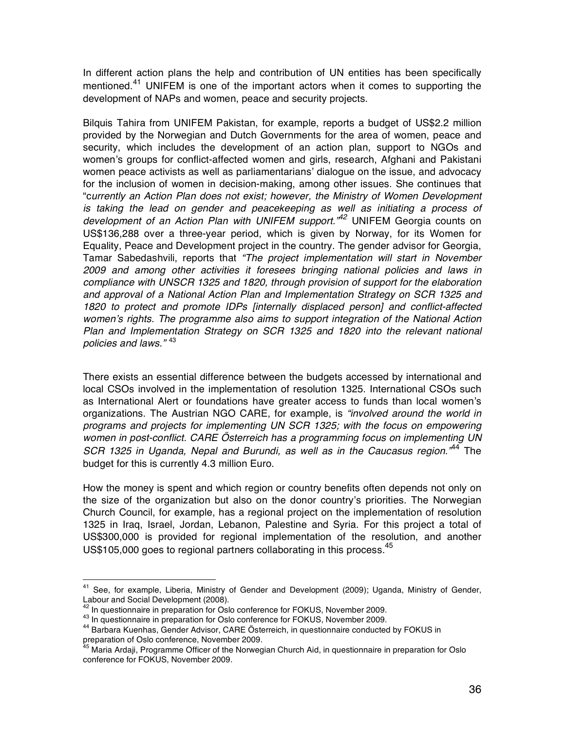In different action plans the help and contribution of UN entities has been specifically mentioned.<sup>41</sup> UNIFEM is one of the important actors when it comes to supporting the development of NAPs and women, peace and security projects.

Bilquis Tahira from UNIFEM Pakistan, for example, reports a budget of US\$2.2 million provided by the Norwegian and Dutch Governments for the area of women, peace and security, which includes the development of an action plan, support to NGOs and women's groups for conflict-affected women and girls, research, Afghani and Pakistani women peace activists as well as parliamentarians' dialogue on the issue, and advocacy for the inclusion of women in decision-making, among other issues. She continues that "c*urrently an Action Plan does not exist; however, the Ministry of Women Development is taking the lead on gender and peacekeeping as well as initiating a process of development of an Action Plan with UNIFEM support."42* UNIFEM Georgia counts on US\$136,288 over a three-year period, which is given by Norway, for its Women for Equality, Peace and Development project in the country. The gender advisor for Georgia, Tamar Sabedashvili, reports that *"The project implementation will start in November 2009 and among other activities it foresees bringing national policies and laws in compliance with UNSCR 1325 and 1820, through provision of support for the elaboration and approval of a National Action Plan and Implementation Strategy on SCR 1325 and 1820 to protect and promote IDPs [internally displaced person] and conflict-affected women*'*s rights. The programme also aims to support integration of the National Action Plan and Implementation Strategy on SCR 1325 and 1820 into the relevant national policies and laws."* <sup>43</sup>

There exists an essential difference between the budgets accessed by international and local CSOs involved in the implementation of resolution 1325. International CSOs such as International Alert or foundations have greater access to funds than local women's organizations. The Austrian NGO CARE, for example, is *"involved around the world in programs and projects for implementing UN SCR 1325; with the focus on empowering women in post-conflict. CARE Österreich has a programming focus on implementing UN SCR 1325 in Uganda, Nepal and Burundi, as well as in the Caucasus region."*<sup>44</sup> The budget for this is currently 4.3 million Euro.

How the money is spent and which region or country benefits often depends not only on the size of the organization but also on the donor country's priorities. The Norwegian Church Council, for example, has a regional project on the implementation of resolution 1325 in Iraq, Israel, Jordan, Lebanon, Palestine and Syria. For this project a total of US\$300,000 is provided for regional implementation of the resolution, and another US\$105,000 goes to regional partners collaborating in this process.<sup>45</sup>

<sup>&</sup>lt;sup>41</sup> See, for example, Liberia, Ministry of Gender and Development (2009); Uganda, Ministry of Gender, Labour and Social Development (2008).<br>
<sup>42</sup> In questionnaire in preparation for Oslo conference for FOKUS, November 2009.

<sup>43</sup> In questionnaire in preparation for Oslo conference for FOKUS, November 2009.<br>44 Barbara Kuenhas, Gender Advisor, CARE Österreich, in questionnaire conducted by FOKUS in preparation of Oslo conference, November 2009.<br><sup>45</sup> Maria Ardaji, Programme Officer of the Norwegian Church Aid, in questionnaire in preparation for Oslo

conference for FOKUS, November 2009.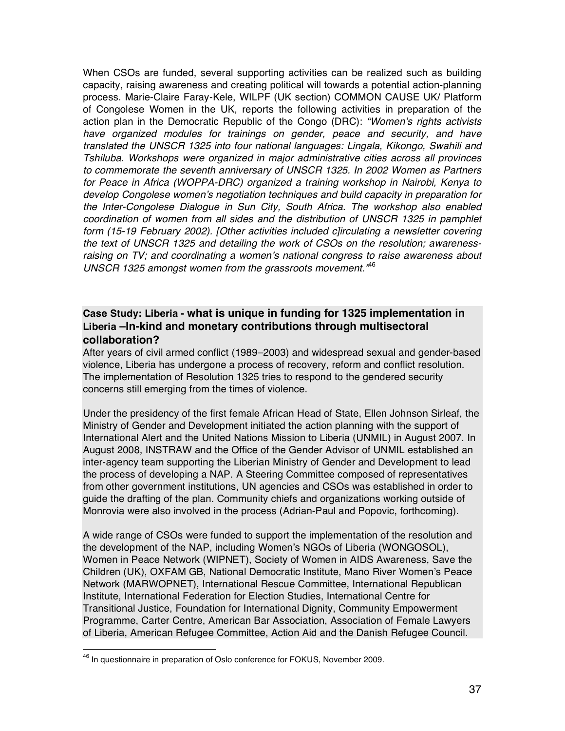When CSOs are funded, several supporting activities can be realized such as building capacity, raising awareness and creating political will towards a potential action-planning process. Marie-Claire Faray-Kele, WILPF (UK section) COMMON CAUSE UK/ Platform of Congolese Women in the UK, reports the following activities in preparation of the action plan in the Democratic Republic of the Congo (DRC): *"Women*'*s rights activists have organized modules for trainings on gender, peace and security, and have translated the UNSCR 1325 into four national languages: Lingala, Kikongo, Swahili and Tshiluba. Workshops were organized in major administrative cities across all provinces to commemorate the seventh anniversary of UNSCR 1325. In 2002 Women as Partners for Peace in Africa (WOPPA-DRC) organized a training workshop in Nairobi, Kenya to develop Congolese women*'*s negotiation techniques and build capacity in preparation for the Inter-Congolese Dialogue in Sun City, South Africa. The workshop also enabled coordination of women from all sides and the distribution of UNSCR 1325 in pamphlet form (15-19 February 2002). [Other activities included c]irculating a newsletter covering the text of UNSCR 1325 and detailing the work of CSOs on the resolution; awarenessraising on TV; and coordinating a women*'*s national congress to raise awareness about UNSCR 1325 amongst women from the grassroots movement."*<sup>46</sup>

### **Case Study: Liberia - what is unique in funding for 1325 implementation in Liberia –In-kind and monetary contributions through multisectoral collaboration?**

After years of civil armed conflict (1989–2003) and widespread sexual and gender-based violence, Liberia has undergone a process of recovery, reform and conflict resolution. The implementation of Resolution 1325 tries to respond to the gendered security concerns still emerging from the times of violence.

Under the presidency of the first female African Head of State, Ellen Johnson Sirleaf, the Ministry of Gender and Development initiated the action planning with the support of International Alert and the United Nations Mission to Liberia (UNMIL) in August 2007. In August 2008, INSTRAW and the Office of the Gender Advisor of UNMIL established an inter-agency team supporting the Liberian Ministry of Gender and Development to lead the process of developing a NAP. A Steering Committee composed of representatives from other government institutions, UN agencies and CSOs was established in order to guide the drafting of the plan. Community chiefs and organizations working outside of Monrovia were also involved in the process (Adrian-Paul and Popovic, forthcoming).

A wide range of CSOs were funded to support the implementation of the resolution and the development of the NAP, including Women's NGOs of Liberia (WONGOSOL), Women in Peace Network (WIPNET), Society of Women in AIDS Awareness, Save the Children (UK), OXFAM GB, National Democratic Institute, Mano River Women's Peace Network (MARWOPNET), International Rescue Committee, International Republican Institute, International Federation for Election Studies, International Centre for Transitional Justice, Foundation for International Dignity, Community Empowerment Programme, Carter Centre, American Bar Association, Association of Female Lawyers of Liberia, American Refugee Committee, Action Aid and the Danish Refugee Council.

<sup>&</sup>lt;sup>46</sup> In questionnaire in preparation of Oslo conference for FOKUS, November 2009.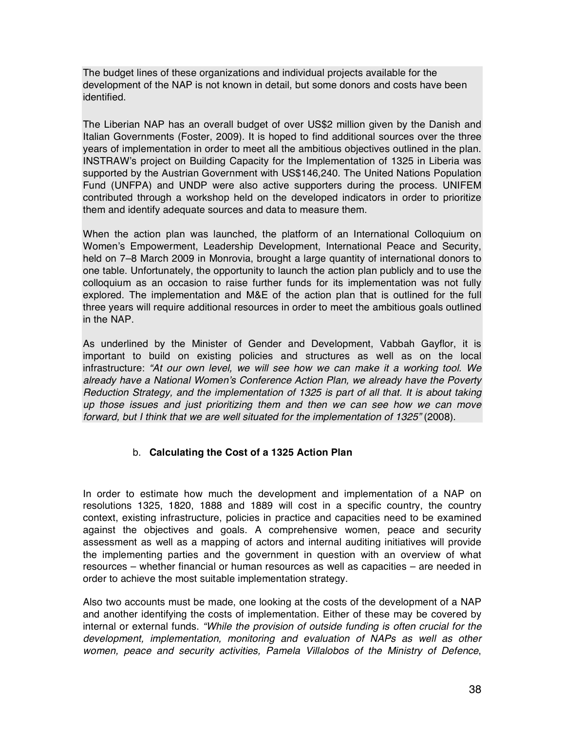The budget lines of these organizations and individual projects available for the development of the NAP is not known in detail, but some donors and costs have been identified.

The Liberian NAP has an overall budget of over US\$2 million given by the Danish and Italian Governments (Foster, 2009). It is hoped to find additional sources over the three years of implementation in order to meet all the ambitious objectives outlined in the plan. INSTRAW's project on Building Capacity for the Implementation of 1325 in Liberia was supported by the Austrian Government with US\$146,240. The United Nations Population Fund (UNFPA) and UNDP were also active supporters during the process. UNIFEM contributed through a workshop held on the developed indicators in order to prioritize them and identify adequate sources and data to measure them.

When the action plan was launched, the platform of an International Colloquium on Women's Empowerment, Leadership Development, International Peace and Security, held on 7–8 March 2009 in Monrovia, brought a large quantity of international donors to one table. Unfortunately, the opportunity to launch the action plan publicly and to use the colloquium as an occasion to raise further funds for its implementation was not fully explored. The implementation and M&E of the action plan that is outlined for the full three years will require additional resources in order to meet the ambitious goals outlined in the NAP.

As underlined by the Minister of Gender and Development, Vabbah Gayflor, it is important to build on existing policies and structures as well as on the local infrastructure: *"At our own level, we will see how we can make it a working tool. We already have a National Women*'*s Conference Action Plan, we already have the Poverty Reduction Strategy, and the implementation of 1325 is part of all that. It is about taking up those issues and just prioritizing them and then we can see how we can move forward, but I think that we are well situated for the implementation of 1325"* (2008).

### b. **Calculating the Cost of a 1325 Action Plan**

In order to estimate how much the development and implementation of a NAP on resolutions 1325, 1820, 1888 and 1889 will cost in a specific country, the country context, existing infrastructure, policies in practice and capacities need to be examined against the objectives and goals. A comprehensive women, peace and security assessment as well as a mapping of actors and internal auditing initiatives will provide the implementing parties and the government in question with an overview of what resources – whether financial or human resources as well as capacities – are needed in order to achieve the most suitable implementation strategy.

Also two accounts must be made, one looking at the costs of the development of a NAP and another identifying the costs of implementation. Either of these may be covered by internal or external funds. *"While the provision of outside funding is often crucial for the development, implementation, monitoring and evaluation of NAPs as well as other women, peace and security activities, Pamela Villalobos of the Ministry of Defence*,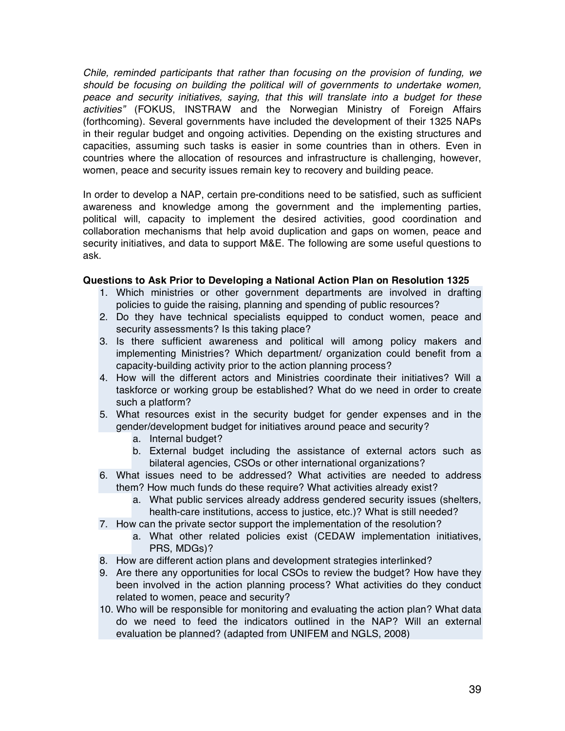*Chile, reminded participants that rather than focusing on the provision of funding, we should be focusing on building the political will of governments to undertake women, peace and security initiatives, saying, that this will translate into a budget for these activities"* (FOKUS, INSTRAW and the Norwegian Ministry of Foreign Affairs (forthcoming). Several governments have included the development of their 1325 NAPs in their regular budget and ongoing activities. Depending on the existing structures and capacities, assuming such tasks is easier in some countries than in others. Even in countries where the allocation of resources and infrastructure is challenging, however, women, peace and security issues remain key to recovery and building peace.

In order to develop a NAP, certain pre-conditions need to be satisfied, such as sufficient awareness and knowledge among the government and the implementing parties, political will, capacity to implement the desired activities, good coordination and collaboration mechanisms that help avoid duplication and gaps on women, peace and security initiatives, and data to support M&E. The following are some useful questions to ask.

#### **Questions to Ask Prior to Developing a National Action Plan on Resolution 1325**

- 1. Which ministries or other government departments are involved in drafting policies to guide the raising, planning and spending of public resources?
- 2. Do they have technical specialists equipped to conduct women, peace and security assessments? Is this taking place?
- 3. Is there sufficient awareness and political will among policy makers and implementing Ministries? Which department/ organization could benefit from a capacity-building activity prior to the action planning process?
- 4. How will the different actors and Ministries coordinate their initiatives? Will a taskforce or working group be established? What do we need in order to create such a platform?
- 5. What resources exist in the security budget for gender expenses and in the gender/development budget for initiatives around peace and security?
	- a. Internal budget?
	- b. External budget including the assistance of external actors such as bilateral agencies, CSOs or other international organizations?
- 6. What issues need to be addressed? What activities are needed to address them? How much funds do these require? What activities already exist?
	- a. What public services already address gendered security issues (shelters, health-care institutions, access to justice, etc.)? What is still needed?
- 7. How can the private sector support the implementation of the resolution?
	- a. What other related policies exist (CEDAW implementation initiatives, PRS, MDGs)?
- 8. How are different action plans and development strategies interlinked?
- 9. Are there any opportunities for local CSOs to review the budget? How have they been involved in the action planning process? What activities do they conduct related to women, peace and security?
- 10. Who will be responsible for monitoring and evaluating the action plan? What data do we need to feed the indicators outlined in the NAP? Will an external evaluation be planned? (adapted from UNIFEM and NGLS, 2008)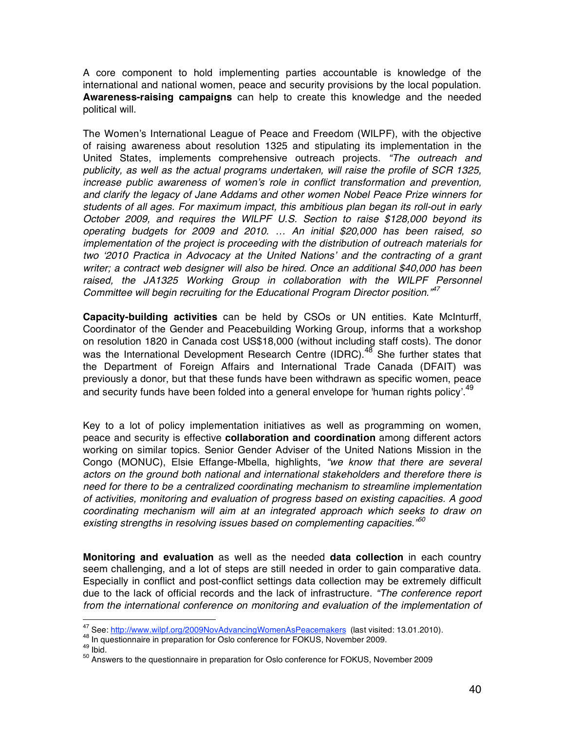A core component to hold implementing parties accountable is knowledge of the international and national women, peace and security provisions by the local population. **Awareness-raising campaigns** can help to create this knowledge and the needed political will.

The Women's International League of Peace and Freedom (WILPF), with the objective of raising awareness about resolution 1325 and stipulating its implementation in the United States, implements comprehensive outreach projects. *"The outreach and publicity, as well as the actual programs undertaken, will raise the profile of SCR 1325, increase public awareness of women*'*s role in conflict transformation and prevention, and clarify the legacy of Jane Addams and other women Nobel Peace Prize winners for students of all ages. For maximum impact, this ambitious plan began its roll-out in early October 2009, and requires the WILPF U.S. Section to raise \$128,000 beyond its operating budgets for 2009 and 2010. … An initial \$20,000 has been raised, so implementation of the project is proceeding with the distribution of outreach materials for two* ʻ*2010 Practica in Advocacy at the United Nations*' *and the contracting of a grant writer; a contract web designer will also be hired. Once an additional \$40,000 has been*  raised, the JA1325 Working Group in collaboration with the WILPF Personnel *Committee will begin recruiting for the Educational Program Director position."<sup>47</sup>*

**Capacity-building activities** can be held by CSOs or UN entities. Kate McInturff, Coordinator of the Gender and Peacebuilding Working Group, informs that a workshop on resolution 1820 in Canada cost US\$18,000 (without including staff costs). The donor was the International Development Research Centre (IDRC).<sup>48</sup> She further states that the Department of Foreign Affairs and International Trade Canada (DFAIT) was previously a donor, but that these funds have been withdrawn as specific women, peace and security funds have been folded into a general envelope for 'human rights policy'.<sup>49</sup>

Key to a lot of policy implementation initiatives as well as programming on women, peace and security is effective **collaboration and coordination** among different actors working on similar topics. Senior Gender Adviser of the United Nations Mission in the Congo (MONUC), Elsie Effange-Mbella, highlights, *"we know that there are several actors on the ground both national and international stakeholders and therefore there is need for there to be a centralized coordinating mechanism to streamline implementation of activities, monitoring and evaluation of progress based on existing capacities. A good coordinating mechanism will aim at an integrated approach which seeks to draw on existing strengths in resolving issues based on complementing capacities."<sup>50</sup>*

**Monitoring and evaluation** as well as the needed **data collection** in each country seem challenging, and a lot of steps are still needed in order to gain comparative data. Especially in conflict and post-conflict settings data collection may be extremely difficult due to the lack of official records and the lack of infrastructure. *"The conference report from the international conference on monitoring and evaluation of the implementation of* 

<sup>&</sup>lt;sup>47</sup> See: http://www.wilpf.org/2009NovAdvancingWomenAsPeacemakers (last visited: 13.01.2010).<br><sup>48</sup> In questionnaire in preparation for Oslo conference for FOKUS, November 2009.<br><sup>49</sup> Ibid.<br><sup>50</sup> Answers to the questionnaire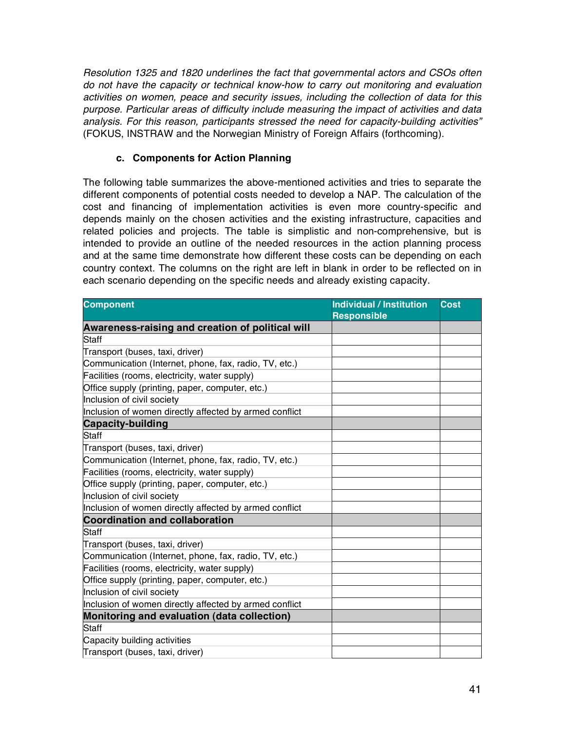*Resolution 1325 and 1820 underlines the fact that governmental actors and CSOs often do not have the capacity or technical know-how to carry out monitoring and evaluation activities on women, peace and security issues, including the collection of data for this purpose. Particular areas of difficulty include measuring the impact of activities and data analysis. For this reason, participants stressed the need for capacity-building activities"*  (FOKUS, INSTRAW and the Norwegian Ministry of Foreign Affairs (forthcoming).

#### **c. Components for Action Planning**

The following table summarizes the above-mentioned activities and tries to separate the different components of potential costs needed to develop a NAP. The calculation of the cost and financing of implementation activities is even more country-specific and depends mainly on the chosen activities and the existing infrastructure, capacities and related policies and projects. The table is simplistic and non-comprehensive, but is intended to provide an outline of the needed resources in the action planning process and at the same time demonstrate how different these costs can be depending on each country context. The columns on the right are left in blank in order to be reflected on in each scenario depending on the specific needs and already existing capacity.

| <b>Component</b>                                       | <b>Individual / Institution</b><br><b>Responsible</b> | <b>Cost</b> |
|--------------------------------------------------------|-------------------------------------------------------|-------------|
| Awareness-raising and creation of political will       |                                                       |             |
| Staff                                                  |                                                       |             |
| Transport (buses, taxi, driver)                        |                                                       |             |
| Communication (Internet, phone, fax, radio, TV, etc.)  |                                                       |             |
| Facilities (rooms, electricity, water supply)          |                                                       |             |
| Office supply (printing, paper, computer, etc.)        |                                                       |             |
| Inclusion of civil society                             |                                                       |             |
| Inclusion of women directly affected by armed conflict |                                                       |             |
| <b>Capacity-building</b>                               |                                                       |             |
| Staff                                                  |                                                       |             |
| Transport (buses, taxi, driver)                        |                                                       |             |
| Communication (Internet, phone, fax, radio, TV, etc.)  |                                                       |             |
| Facilities (rooms, electricity, water supply)          |                                                       |             |
| Office supply (printing, paper, computer, etc.)        |                                                       |             |
| Inclusion of civil society                             |                                                       |             |
| Inclusion of women directly affected by armed conflict |                                                       |             |
| <b>Coordination and collaboration</b>                  |                                                       |             |
| Staff                                                  |                                                       |             |
| Transport (buses, taxi, driver)                        |                                                       |             |
| Communication (Internet, phone, fax, radio, TV, etc.)  |                                                       |             |
| Facilities (rooms, electricity, water supply)          |                                                       |             |
| Office supply (printing, paper, computer, etc.)        |                                                       |             |
| Inclusion of civil society                             |                                                       |             |
| Inclusion of women directly affected by armed conflict |                                                       |             |
| Monitoring and evaluation (data collection)            |                                                       |             |
| Staff                                                  |                                                       |             |
| Capacity building activities                           |                                                       |             |
| Transport (buses, taxi, driver)                        |                                                       |             |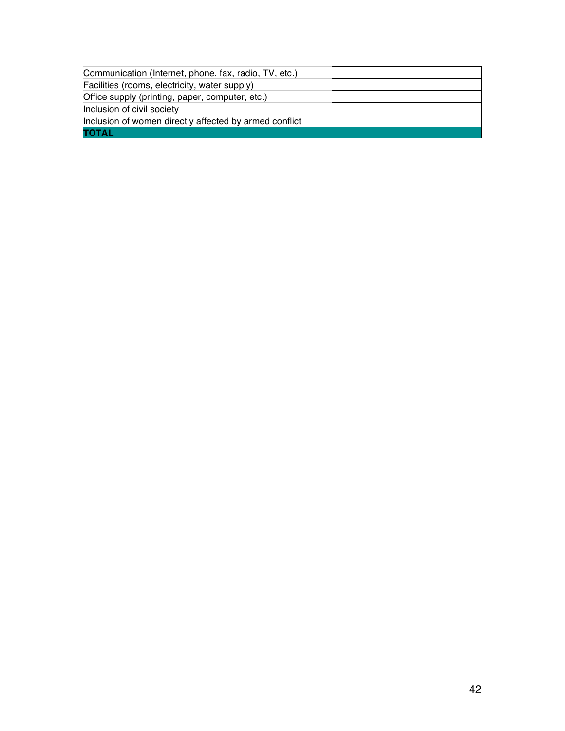| Communication (Internet, phone, fax, radio, TV, etc.)  |  |
|--------------------------------------------------------|--|
| Facilities (rooms, electricity, water supply)          |  |
| Office supply (printing, paper, computer, etc.)        |  |
| Inclusion of civil society                             |  |
| Inclusion of women directly affected by armed conflict |  |
| ΤΟΤΑL                                                  |  |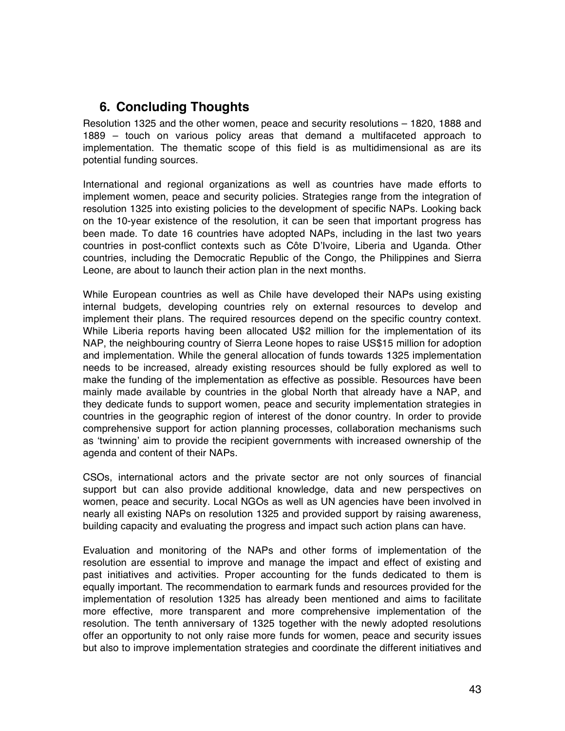# **6. Concluding Thoughts**

Resolution 1325 and the other women, peace and security resolutions – 1820, 1888 and 1889 – touch on various policy areas that demand a multifaceted approach to implementation. The thematic scope of this field is as multidimensional as are its potential funding sources.

International and regional organizations as well as countries have made efforts to implement women, peace and security policies. Strategies range from the integration of resolution 1325 into existing policies to the development of specific NAPs. Looking back on the 10-year existence of the resolution, it can be seen that important progress has been made. To date 16 countries have adopted NAPs, including in the last two years countries in post-conflict contexts such as Côte D'Ivoire, Liberia and Uganda. Other countries, including the Democratic Republic of the Congo, the Philippines and Sierra Leone, are about to launch their action plan in the next months.

While European countries as well as Chile have developed their NAPs using existing internal budgets, developing countries rely on external resources to develop and implement their plans. The required resources depend on the specific country context. While Liberia reports having been allocated U\$2 million for the implementation of its NAP, the neighbouring country of Sierra Leone hopes to raise US\$15 million for adoption and implementation. While the general allocation of funds towards 1325 implementation needs to be increased, already existing resources should be fully explored as well to make the funding of the implementation as effective as possible. Resources have been mainly made available by countries in the global North that already have a NAP, and they dedicate funds to support women, peace and security implementation strategies in countries in the geographic region of interest of the donor country. In order to provide comprehensive support for action planning processes, collaboration mechanisms such as ʻtwinning' aim to provide the recipient governments with increased ownership of the agenda and content of their NAPs.

CSOs, international actors and the private sector are not only sources of financial support but can also provide additional knowledge, data and new perspectives on women, peace and security. Local NGOs as well as UN agencies have been involved in nearly all existing NAPs on resolution 1325 and provided support by raising awareness, building capacity and evaluating the progress and impact such action plans can have.

Evaluation and monitoring of the NAPs and other forms of implementation of the resolution are essential to improve and manage the impact and effect of existing and past initiatives and activities. Proper accounting for the funds dedicated to them is equally important. The recommendation to earmark funds and resources provided for the implementation of resolution 1325 has already been mentioned and aims to facilitate more effective, more transparent and more comprehensive implementation of the resolution. The tenth anniversary of 1325 together with the newly adopted resolutions offer an opportunity to not only raise more funds for women, peace and security issues but also to improve implementation strategies and coordinate the different initiatives and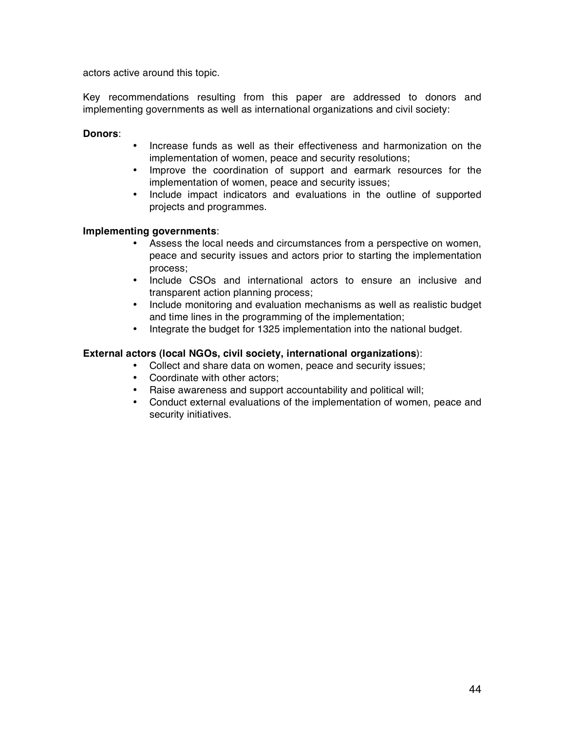actors active around this topic.

Key recommendations resulting from this paper are addressed to donors and implementing governments as well as international organizations and civil society:

#### **Donors**:

- Increase funds as well as their effectiveness and harmonization on the implementation of women, peace and security resolutions;
- Improve the coordination of support and earmark resources for the implementation of women, peace and security issues;
- Include impact indicators and evaluations in the outline of supported projects and programmes.

#### **Implementing governments**:

- Assess the local needs and circumstances from a perspective on women, peace and security issues and actors prior to starting the implementation process;
- Include CSOs and international actors to ensure an inclusive and transparent action planning process;
- Include monitoring and evaluation mechanisms as well as realistic budget and time lines in the programming of the implementation;
- Integrate the budget for 1325 implementation into the national budget.

#### **External actors (local NGOs, civil society, international organizations**):

- Collect and share data on women, peace and security issues;
- Coordinate with other actors;
- Raise awareness and support accountability and political will;
- Conduct external evaluations of the implementation of women, peace and security initiatives.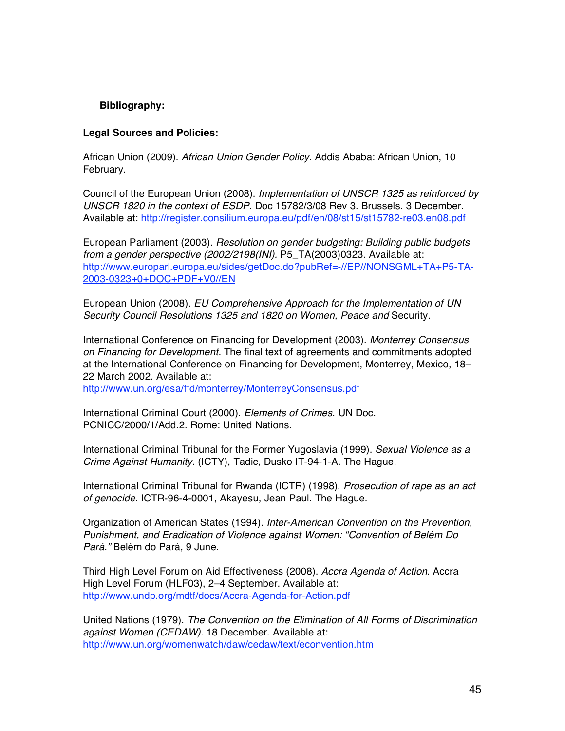#### **Bibliography:**

#### **Legal Sources and Policies:**

African Union (2009). *African Union Gender Policy*. Addis Ababa: African Union, 10 February.

Council of the European Union (2008). *Implementation of UNSCR 1325 as reinforced by UNSCR 1820 in the context of ESDP.* Doc 15782/3/08 Rev 3. Brussels. 3 December. Available at: http://register.consilium.europa.eu/pdf/en/08/st15/st15782-re03.en08.pdf

European Parliament (2003). *Resolution on gender budgeting: Building public budgets from a gender perspective (2002/2198(INI).* P5\_TA(2003)0323. Available at: http://www.europarl.europa.eu/sides/getDoc.do?pubRef=-//EP//NONSGML+TA+P5-TA-2003-0323+0+DOC+PDF+V0//EN

European Union (2008). *EU Comprehensive Approach for the Implementation of UN Security Council Resolutions 1325 and 1820 on Women, Peace and* Security.

International Conference on Financing for Development (2003). *Monterrey Consensus on Financing for Development.* The final text of agreements and commitments adopted at the International Conference on Financing for Development, Monterrey, Mexico, 18– 22 March 2002. Available at:

http://www.un.org/esa/ffd/monterrey/MonterreyConsensus.pdf

International Criminal Court (2000). *Elements of Crimes*. UN Doc. PCNICC/2000/1/Add.2. Rome: United Nations.

International Criminal Tribunal for the Former Yugoslavia (1999). *Sexual Violence as a Crime Against Humanity*. (ICTY), Tadic, Dusko IT-94-1-A. The Hague.

International Criminal Tribunal for Rwanda (ICTR) (1998). *Prosecution of rape as an act of genocide*. ICTR-96-4-0001, Akayesu, Jean Paul. The Hague.

Organization of American States (1994). *Inter-American Convention on the Prevention, Punishment, and Eradication of Violence against Women: "Convention of Belém Do Pará."* Belém do Pará*,* 9 June.

Third High Level Forum on Aid Effectiveness (2008). *Accra Agenda of Action*. Accra High Level Forum (HLF03), 2–4 September. Available at: http://www.undp.org/mdtf/docs/Accra-Agenda-for-Action.pdf

United Nations (1979). *The Convention on the Elimination of All Forms of Discrimination against Women (CEDAW).* 18 December. Available at: http://www.un.org/womenwatch/daw/cedaw/text/econvention.htm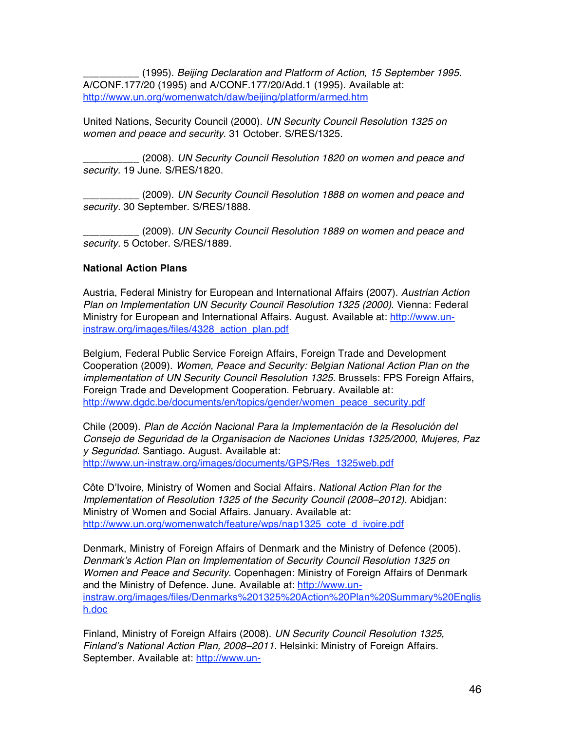\_\_\_\_\_\_\_\_\_\_ (1995). *Beijing Declaration and Platform of Action, 15 September 1995*. A/CONF.177/20 (1995) and A/CONF.177/20/Add.1 (1995). Available at: http://www.un.org/womenwatch/daw/beijing/platform/armed.htm

United Nations, Security Council (2000). *UN Security Council Resolution 1325 on women and peace and security*. 31 October. S/RES/1325.

\_\_\_\_\_\_\_\_\_\_ (2008). *UN Security Council Resolution 1820 on women and peace and security.* 19 June. S/RES/1820.

\_\_\_\_\_\_\_\_\_\_ (2009). *UN Security Council Resolution 1888 on women and peace and security.* 30 September. S/RES/1888.

\_\_\_\_\_\_\_\_\_\_ (2009). *UN Security Council Resolution 1889 on women and peace and security.* 5 October. S/RES/1889.

#### **National Action Plans**

Austria, Federal Ministry for European and International Affairs (2007). *Austrian Action Plan on Implementation UN Security Council Resolution 1325 (2000)*. Vienna: Federal Ministry for European and International Affairs. August. Available at: http://www.uninstraw.org/images/files/4328\_action\_plan.pdf

Belgium, Federal Public Service Foreign Affairs, Foreign Trade and Development Cooperation (2009). *Women, Peace and Security: Belgian National Action Plan on the implementation of UN Security Council Resolution 1325.* Brussels: FPS Foreign Affairs, Foreign Trade and Development Cooperation. February. Available at: http://www.dgdc.be/documents/en/topics/gender/women\_peace\_security.pdf

Chile (2009). *Plan de Acción Nacional Para la Implementación de la Resolución del Consejo de Seguridad de la Organisacion de Naciones Unidas 1325/2000, Mujeres, Paz y Seguridad*. Santiago. August. Available at: http://www.un-instraw.org/images/documents/GPS/Res\_1325web.pdf

Côte D'Ivoire, Ministry of Women and Social Affairs. *National Action Plan for the Implementation of Resolution 1325 of the Security Council (2008–2012).* Abidjan: Ministry of Women and Social Affairs. January. Available at: http://www.un.org/womenwatch/feature/wps/nap1325\_cote\_d\_ivoire.pdf

Denmark, Ministry of Foreign Affairs of Denmark and the Ministry of Defence (2005). *Denmark*'*s Action Plan on Implementation of Security Council Resolution 1325 on Women and Peace and Security.* Copenhagen: Ministry of Foreign Affairs of Denmark and the Ministry of Defence. June. Available at: http://www.uninstraw.org/images/files/Denmarks%201325%20Action%20Plan%20Summary%20Englis h.doc

Finland, Ministry of Foreign Affairs (2008). *UN Security Council Resolution 1325, Finland*'*s National Action Plan, 2008–2011.* Helsinki: Ministry of Foreign Affairs. September. Available at: http://www.un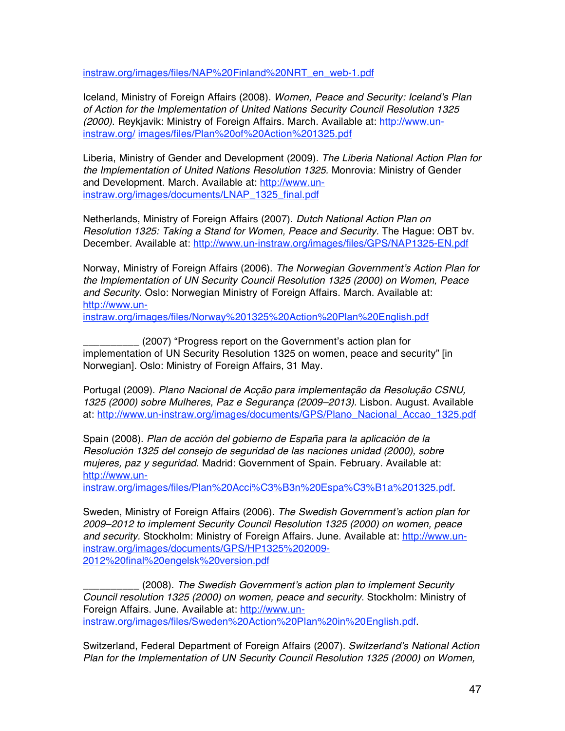instraw.org/images/files/NAP%20Finland%20NRT\_en\_web-1.pdf

Iceland, Ministry of Foreign Affairs (2008). *Women, Peace and Security: Iceland*'*s Plan of Action for the Implementation of United Nations Security Council Resolution 1325 (2000)*. Reykjavik: Ministry of Foreign Affairs. March. Available at: http://www.uninstraw.org/ images/files/Plan%20of%20Action%201325.pdf

Liberia, Ministry of Gender and Development (2009). *The Liberia National Action Plan for the Implementation of United Nations Resolution 1325.* Monrovia: Ministry of Gender and Development. March. Available at: http://www.uninstraw.org/images/documents/LNAP\_1325\_final.pdf

Netherlands, Ministry of Foreign Affairs (2007). *Dutch National Action Plan on Resolution 1325: Taking a Stand for Women, Peace and Security.* The Hague: OBT bv. December. Available at: http://www.un-instraw.org/images/files/GPS/NAP1325-EN.pdf

Norway, Ministry of Foreign Affairs (2006). *The Norwegian Government*'*s Action Plan for the Implementation of UN Security Council Resolution 1325 (2000) on Women, Peace and Security.* Oslo: Norwegian Ministry of Foreign Affairs. March. Available at: http://www.un-

instraw.org/images/files/Norway%201325%20Action%20Plan%20English.pdf

\_\_\_\_\_\_\_\_\_\_ (2007) "Progress report on the Government's action plan for implementation of UN Security Resolution 1325 on women, peace and security" [in Norwegian]. Oslo: Ministry of Foreign Affairs, 31 May.

Portugal (2009). *Plano Nacional de Acção para implementação da Resolução CSNU, 1325 (2000) sobre Mulheres, Paz e Segurança (2009–2013).* Lisbon. August. Available at: http://www.un-instraw.org/images/documents/GPS/Plano\_Nacional\_Accao\_1325.pdf

Spain (2008). *Plan de acción del gobierno de España para la aplicación de la Resolución 1325 del consejo de seguridad de las naciones unidad (2000), sobre mujeres, paz y seguridad.* Madrid: Government of Spain. February. Available at: http://www.un-

instraw.org/images/files/Plan%20Acci%C3%B3n%20Espa%C3%B1a%201325.pdf.

Sweden, Ministry of Foreign Affairs (2006). *The Swedish Government*'*s action plan for 2009–2012 to implement Security Council Resolution 1325 (2000) on women, peace and security.* Stockholm: Ministry of Foreign Affairs. June. Available at: http://www.uninstraw.org/images/documents/GPS/HP1325%202009- 2012%20final%20engelsk%20version.pdf

\_\_\_\_\_\_\_\_\_\_ (2008). *The Swedish Government*'*s action plan to implement Security Council resolution 1325 (2000) on women, peace and security.* Stockholm: Ministry of Foreign Affairs. June. Available at: http://www.uninstraw.org/images/files/Sweden%20Action%20Plan%20in%20English.pdf.

Switzerland, Federal Department of Foreign Affairs (2007). *Switzerland*'*s National Action Plan for the Implementation of UN Security Council Resolution 1325 (2000) on Women,*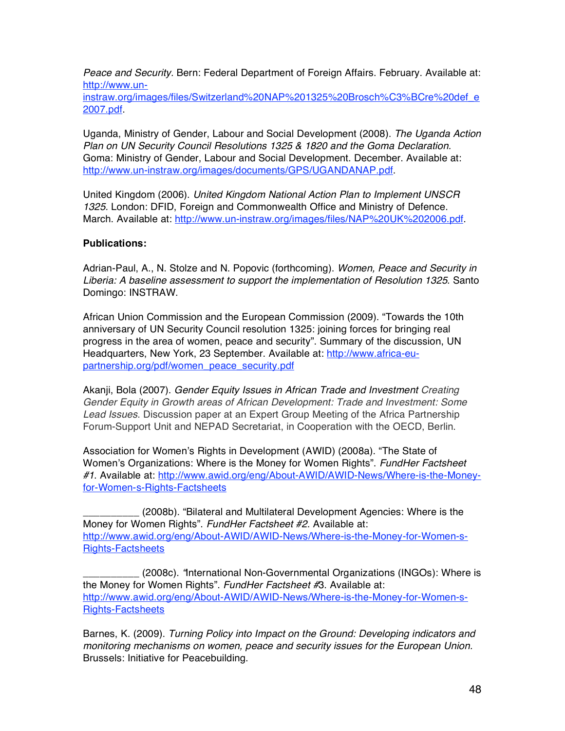*Peace and Security.* Bern: Federal Department of Foreign Affairs. February. Available at: http://www.un-

instraw.org/images/files/Switzerland%20NAP%201325%20Brosch%C3%BCre%20def\_e 2007.pdf.

Uganda, Ministry of Gender, Labour and Social Development (2008). *The Uganda Action Plan on UN Security Council Resolutions 1325 & 1820 and the Goma Declaration.*  Goma: Ministry of Gender, Labour and Social Development. December. Available at: http://www.un-instraw.org/images/documents/GPS/UGANDANAP.pdf.

United Kingdom (2006). *United Kingdom National Action Plan to Implement UNSCR 1325.* London: DFID, Foreign and Commonwealth Office and Ministry of Defence. March. Available at: http://www.un-instraw.org/images/files/NAP%20UK%202006.pdf.

#### **Publications:**

Adrian-Paul, A., N. Stolze and N. Popovic (forthcoming). *Women, Peace and Security in Liberia: A baseline assessment to support the implementation of Resolution 1325*. Santo Domingo: INSTRAW.

African Union Commission and the European Commission (2009). "Towards the 10th anniversary of UN Security Council resolution 1325: joining forces for bringing real progress in the area of women, peace and security". Summary of the discussion, UN Headquarters, New York, 23 September. Available at: http://www.africa-eupartnership.org/pdf/women\_peace\_security.pdf

Akanji, Bola (2007). *Gender Equity Issues in African Trade and Investment Creating Gender Equity in Growth areas of African Development: Trade and Investment: Some Lead Issues*. Discussion paper at an Expert Group Meeting of the Africa Partnership Forum-Support Unit and NEPAD Secretariat, in Cooperation with the OECD, Berlin.

Association for Women's Rights in Development (AWID) (2008a). "The State of Women's Organizations: Where is the Money for Women Rights". *FundHer Factsheet #1*. Available at: http://www.awid.org/eng/About-AWID/AWID-News/Where-is-the-Moneyfor-Women-s-Rights-Factsheets

\_\_\_\_\_\_\_\_\_\_ (2008b). "Bilateral and Multilateral Development Agencies: Where is the Money for Women Rights". *FundHer Factsheet #2*. Available at: http://www.awid.org/eng/About-AWID/AWID-News/Where-is-the-Money-for-Women-s-Rights-Factsheets

\_\_\_\_\_\_\_\_\_\_ (2008c). *"*International Non-Governmental Organizations (INGOs): Where is the Money for Women Rights". *FundHer Factsheet #*3. Available at: http://www.awid.org/eng/About-AWID/AWID-News/Where-is-the-Money-for-Women-s-Rights-Factsheets

Barnes, K. (2009). *Turning Policy into Impact on the Ground: Developing indicators and monitoring mechanisms on women, peace and security issues for the European Union.*  Brussels: Initiative for Peacebuilding.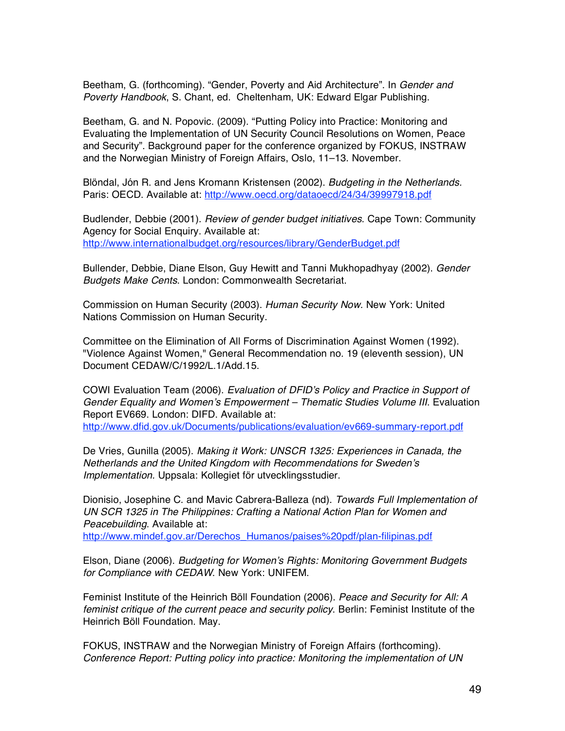Beetham, G. (forthcoming). "Gender, Poverty and Aid Architecture". In *Gender and Poverty Handbook*, S. Chant, ed. Cheltenham, UK: Edward Elgar Publishing.

Beetham, G. and N. Popovic. (2009). "Putting Policy into Practice: Monitoring and Evaluating the Implementation of UN Security Council Resolutions on Women, Peace and Security". Background paper for the conference organized by FOKUS, INSTRAW and the Norwegian Ministry of Foreign Affairs, Oslo, 11–13. November.

Blöndal, Jón R. and Jens Kromann Kristensen (2002). *Budgeting in the Netherlands.*  Paris: OECD. Available at: http://www.oecd.org/dataoecd/24/34/39997918.pdf

Budlender, Debbie (2001). *Review of gender budget initiatives*. Cape Town: Community Agency for Social Enquiry. Available at: http://www.internationalbudget.org/resources/library/GenderBudget.pdf

Bullender, Debbie, Diane Elson, Guy Hewitt and Tanni Mukhopadhyay (2002). *Gender Budgets Make Cents*. London: Commonwealth Secretariat.

Commission on Human Security (2003). *Human Security Now.* New York: United Nations Commission on Human Security.

Committee on the Elimination of All Forms of Discrimination Against Women (1992). "Violence Against Women," General Recommendation no. 19 (eleventh session), UN Document CEDAW/C/1992/L.1/Add.15.

COWI Evaluation Team (2006). *Evaluation of DFID*'*s Policy and Practice in Support of Gender Equality and Women*'*s Empowerment – Thematic Studies Volume III*. Evaluation Report EV669. London: DIFD. Available at: http://www.dfid.gov.uk/Documents/publications/evaluation/ev669-summary-report.pdf

De Vries, Gunilla (2005). *Making it Work: UNSCR 1325: Experiences in Canada, the Netherlands and the United Kingdom with Recommendations for Sweden*'*s Implementation.* Uppsala: Kollegiet för utvecklingsstudier.

Dionisio, Josephine C. and Mavic Cabrera-Balleza (nd). *Towards Full Implementation of UN SCR 1325 in The Philippines: Crafting a National Action Plan for Women and Peacebuilding*. Available at: http://www.mindef.gov.ar/Derechos\_Humanos/paises%20pdf/plan-filipinas.pdf

Elson, Diane (2006). *Budgeting for Women*'*s Rights: Monitoring Government Budgets for Compliance with CEDAW*. New York: UNIFEM.

Feminist Institute of the Heinrich Böll Foundation (2006). *Peace and Security for All: A feminist critique of the current peace and security policy*. Berlin: Feminist Institute of the Heinrich Böll Foundation. May.

FOKUS, INSTRAW and the Norwegian Ministry of Foreign Affairs (forthcoming). *Conference Report: Putting policy into practice: Monitoring the implementation of UN*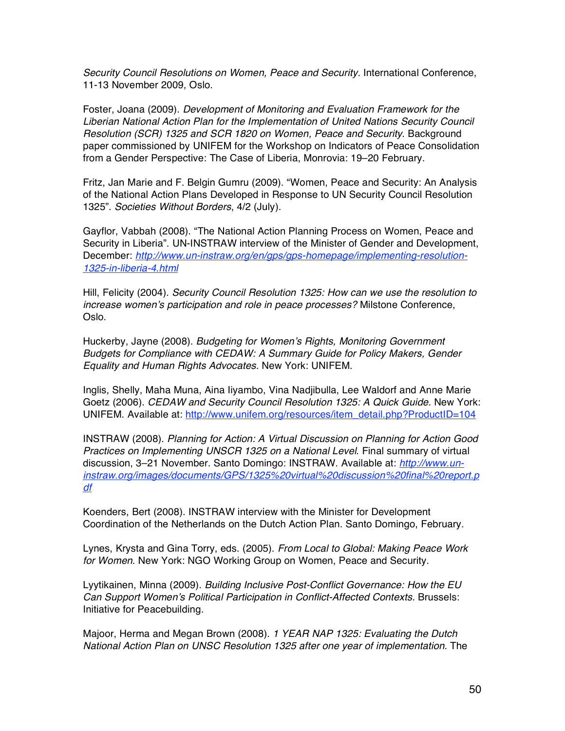*Security Council Resolutions on Women, Peace and Security.* International Conference, 11-13 November 2009, Oslo.

Foster, Joana (2009). *Development of Monitoring and Evaluation Framework for the Liberian National Action Plan for the Implementation of United Nations Security Council Resolution (SCR) 1325 and SCR 1820 on Women, Peace and Security*. Background paper commissioned by UNIFEM for the Workshop on Indicators of Peace Consolidation from a Gender Perspective: The Case of Liberia, Monrovia: 19–20 February.

Fritz, Jan Marie and F. Belgin Gumru (2009). "Women, Peace and Security: An Analysis of the National Action Plans Developed in Response to UN Security Council Resolution 1325". *Societies Without Borders*, 4/2 (July).

Gayflor, Vabbah (2008). "The National Action Planning Process on Women, Peace and Security in Liberia". UN-INSTRAW interview of the Minister of Gender and Development, December: *http://www.un-instraw.org/en/gps/gps-homepage/implementing-resolution-1325-in-liberia-4.html*

Hill, Felicity (2004). *Security Council Resolution 1325: How can we use the resolution to increase women*'*s participation and role in peace processes?* Milstone Conference, Oslo.

Huckerby, Jayne (2008). *Budgeting for Women*'*s Rights, Monitoring Government Budgets for Compliance with CEDAW: A Summary Guide for Policy Makers, Gender Equality and Human Rights Advocates.* New York: UNIFEM.

Inglis, Shelly, Maha Muna, Aina Iiyambo, Vina Nadjibulla, Lee Waldorf and Anne Marie Goetz (2006). *CEDAW and Security Council Resolution 1325: A Quick Guide.* New York: UNIFEM. Available at: http://www.unifem.org/resources/item\_detail.php?ProductID=104

INSTRAW (2008). *Planning for Action: A Virtual Discussion on Planning for Action Good Practices on Implementing UNSCR 1325 on a National Level*. Final summary of virtual discussion, 3–21 November. Santo Domingo: INSTRAW. Available at: *http://www.uninstraw.org/images/documents/GPS/1325%20virtual%20discussion%20final%20report.p df*

Koenders, Bert (2008). INSTRAW interview with the Minister for Development Coordination of the Netherlands on the Dutch Action Plan. Santo Domingo, February.

Lynes, Krysta and Gina Torry, eds. (2005). *From Local to Global: Making Peace Work for Women*. New York: NGO Working Group on Women, Peace and Security.

Lyytikainen, Minna (2009). *Building Inclusive Post-Conflict Governance: How the EU Can Support Women*'*s Political Participation in Conflict-Affected Contexts.* Brussels: Initiative for Peacebuilding.

Majoor, Herma and Megan Brown (2008). *1 YEAR NAP 1325: Evaluating the Dutch National Action Plan on UNSC Resolution 1325 after one year of implementation.* The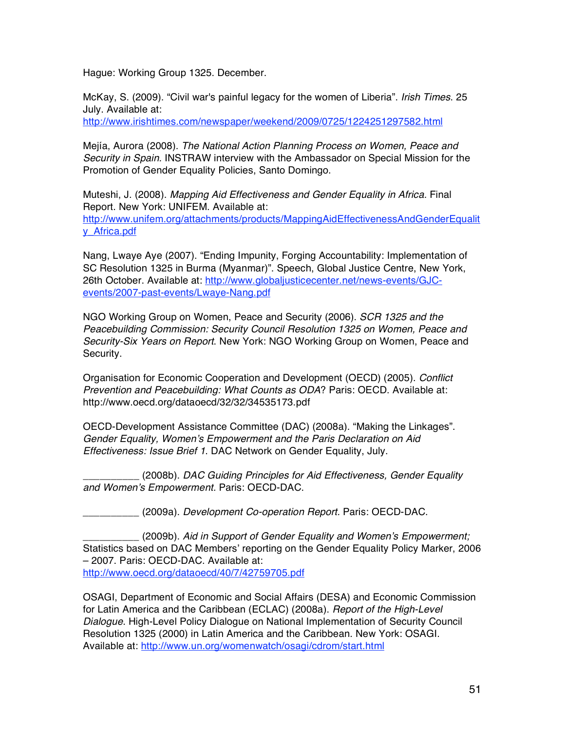Hague: Working Group 1325. December.

McKay, S. (2009). "Civil war's painful legacy for the women of Liberia". *Irish Times*. 25 July. Available at:

http://www.irishtimes.com/newspaper/weekend/2009/0725/1224251297582.html

Mejía, Aurora (2008). *The National Action Planning Process on Women, Peace and Security in Spain.* INSTRAW interview with the Ambassador on Special Mission for the Promotion of Gender Equality Policies, Santo Domingo.

Muteshi, J. (2008). *Mapping Aid Effectiveness and Gender Equality in Africa.* Final Report. New York: UNIFEM. Available at: http://www.unifem.org/attachments/products/MappingAidEffectivenessAndGenderEqualit y\_Africa.pdf

Nang, Lwaye Aye (2007). "Ending Impunity, Forging Accountability: Implementation of SC Resolution 1325 in Burma (Myanmar)". Speech, Global Justice Centre, New York, 26th October. Available at: http://www.globaljusticecenter.net/news-events/GJCevents/2007-past-events/Lwaye-Nang.pdf

NGO Working Group on Women, Peace and Security (2006). *SCR 1325 and the Peacebuilding Commission: Security Council Resolution 1325 on Women, Peace and Security-Six Years on Report*. New York: NGO Working Group on Women, Peace and Security.

Organisation for Economic Cooperation and Development (OECD) (2005). *Conflict Prevention and Peacebuilding: What Counts as ODA*? Paris: OECD. Available at: http://www.oecd.org/dataoecd/32/32/34535173.pdf

OECD-Development Assistance Committee (DAC) (2008a). "Making the Linkages". *Gender Equality, Women*'*s Empowerment and the Paris Declaration on Aid Effectiveness: Issue Brief 1*. DAC Network on Gender Equality, July.

\_\_\_\_\_\_\_\_\_\_ (2008b). *DAC Guiding Principles for Aid Effectiveness, Gender Equality and Women*'*s Empowerment.* Paris: OECD-DAC.

*\_\_\_\_\_\_\_\_\_\_* (2009a). *Development Co-operation Report.* Paris: OECD-DAC.

*\_\_\_\_\_\_\_\_\_\_* (2009b). *Aid in Support of Gender Equality and Women*'*s Empowerment;*  Statistics based on DAC Members' reporting on the Gender Equality Policy Marker, 2006 – 2007. Paris: OECD-DAC. Available at: http://www.oecd.org/dataoecd/40/7/42759705.pdf

OSAGI, Department of Economic and Social Affairs (DESA) and Economic Commission for Latin America and the Caribbean (ECLAC) (2008a). *Report of the High-Level Dialogue*. High-Level Policy Dialogue on National Implementation of Security Council Resolution 1325 (2000) in Latin America and the Caribbean. New York: OSAGI. Available at: http://www.un.org/womenwatch/osagi/cdrom/start.html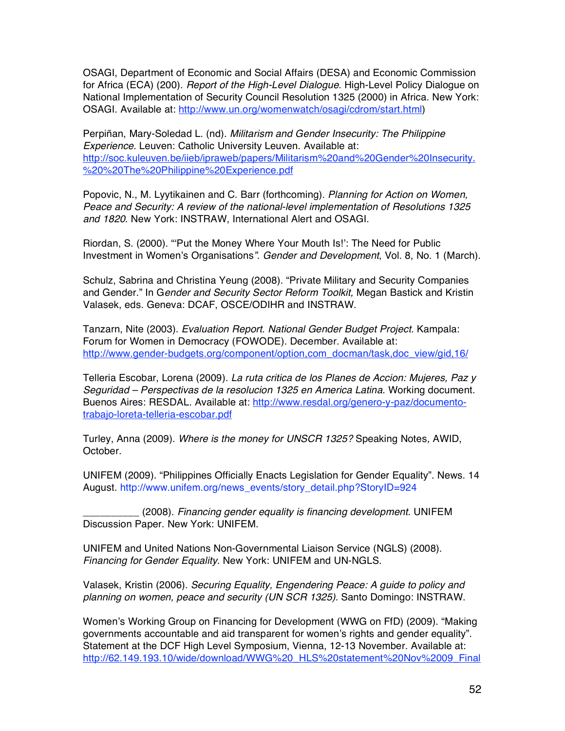OSAGI, Department of Economic and Social Affairs (DESA) and Economic Commission for Africa (ECA) (200). *Report of the High-Level Dialogue*. High-Level Policy Dialogue on National Implementation of Security Council Resolution 1325 (2000) in Africa*.* New York: OSAGI. Available at: http://www.un.org/womenwatch/osagi/cdrom/start.html)

Perpiñan, Mary-Soledad L. (nd). *Militarism and Gender Insecurity: The Philippine Experience.* Leuven: Catholic University Leuven. Available at: http://soc.kuleuven.be/iieb/ipraweb/papers/Militarism%20and%20Gender%20Insecurity. %20%20The%20Philippine%20Experience.pdf

Popovic, N., M. Lyytikainen and C. Barr (forthcoming). *Planning for Action on Women, Peace and Security: A review of the national-level implementation of Resolutions 1325 and 1820*. New York: INSTRAW, International Alert and OSAGI.

Riordan, S. (2000). "ʻPut the Money Where Your Mouth Is!': The Need for Public Investment in Women's Organisations*"*. *Gender and Development*, Vol. 8, No. 1 (March).

Schulz, Sabrina and Christina Yeung (2008). "Private Military and Security Companies and Gender." In G*ender and Security Sector Reform Toolkit,* Megan Bastick and Kristin Valasek, eds. Geneva: DCAF, OSCE/ODIHR and INSTRAW.

Tanzarn, Nite (2003). *Evaluation Report. National Gender Budget Project.* Kampala: Forum for Women in Democracy (FOWODE). December. Available at: http://www.gender-budgets.org/component/option,com\_docman/task,doc\_view/gid,16/

Telleria Escobar, Lorena (2009). *La ruta critica de los Planes de Accion: Mujeres, Paz y Seguridad – Perspectivas de la resolucion 1325 en America Latina.* Working document. Buenos Aires: RESDAL. Available at: http://www.resdal.org/genero-y-paz/documentotrabajo-loreta-telleria-escobar.pdf

Turley, Anna (2009). *Where is the money for UNSCR 1325?* Speaking Notes*,* AWID, October.

UNIFEM (2009). "Philippines Officially Enacts Legislation for Gender Equality". News. 14 August. http://www.unifem.org/news\_events/story\_detail.php?StoryID=924

\_\_\_\_\_\_\_\_\_\_ (2008). *Financing gender equality is financing development.* UNIFEM Discussion Paper. New York: UNIFEM.

UNIFEM and United Nations Non-Governmental Liaison Service (NGLS) (2008). *Financing for Gender Equality*. New York: UNIFEM and UN-NGLS.

Valasek, Kristin (2006). *Securing Equality, Engendering Peace: A guide to policy and planning on women, peace and security (UN SCR 1325).* Santo Domingo: INSTRAW.

Women's Working Group on Financing for Development (WWG on FfD) (2009). "Making governments accountable and aid transparent for women's rights and gender equality". Statement at the DCF High Level Symposium, Vienna, 12-13 November. Available at: http://62.149.193.10/wide/download/WWG%20\_HLS%20statement%20Nov%2009\_Final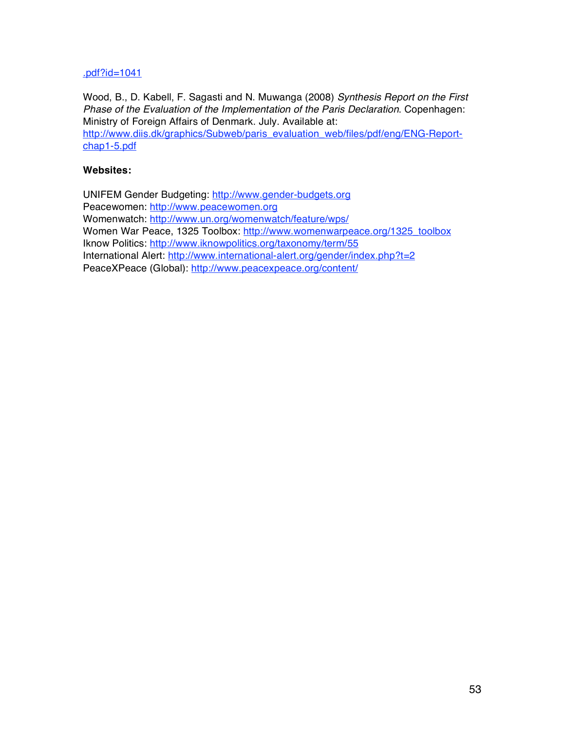#### .pdf?id=1041

Wood, B., D. Kabell, F. Sagasti and N. Muwanga (2008) *Synthesis Report on the First Phase of the Evaluation of the Implementation of the Paris Declaration*. Copenhagen: Ministry of Foreign Affairs of Denmark. July. Available at: http://www.diis.dk/graphics/Subweb/paris\_evaluation\_web/files/pdf/eng/ENG-Reportchap1-5.pdf

#### **Websites:**

UNIFEM Gender Budgeting: http://www.gender-budgets.org Peacewomen: http://www.peacewomen.org Womenwatch: http://www.un.org/womenwatch/feature/wps/ Women War Peace, 1325 Toolbox: http://www.womenwarpeace.org/1325\_toolbox Iknow Politics: http://www.iknowpolitics.org/taxonomy/term/55 International Alert: http://www.international-alert.org/gender/index.php?t=2 PeaceXPeace (Global): http://www.peacexpeace.org/content/